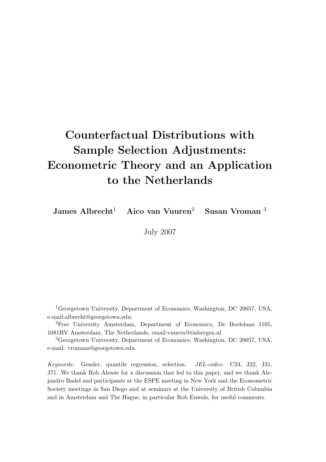# Counterfactual Distributions with Sample Selection Adjustments: Econometric Theory and an Application to the Netherlands

James Albrecht<sup>1</sup> Aico van Vuuren<sup>2</sup> Susan Vroman<sup>3</sup>

July 2007

<sup>1</sup>Georgetown University, Department of Economics, Washington, DC 20057, USA, e-mail:albrecht@georgetown.edu.

<sup>2</sup>Free University Amsterdam, Department of Economics, De Boelelaan 1105, 1081HV Amsterdam, The Netherlands, email:vuuren@tinbergen.nl

<sup>3</sup>Georgetown University, Department of Economics, Washington, DC 20057, USA, e-mail: vromans@georgetown.edu.

Keywords: Gender, quantile regression, selection. JEL-codes: C24, J22, J31, J71. We thank Rob Alessie for a discussion that led to this paper, and we thank Alejandro Badel and participants at the ESPE meeting in New York and the Econometric Society meetings in San Diego and at seminars at the University of British Columbia and in Amsterdam and The Hague, in particular Rob Euwals, for useful comments.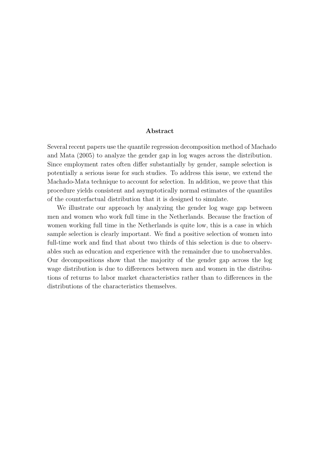### Abstract

Several recent papers use the quantile regression decomposition method of Machado and Mata (2005) to analyze the gender gap in log wages across the distribution. Since employment rates often differ substantially by gender, sample selection is potentially a serious issue for such studies. To address this issue, we extend the Machado-Mata technique to account for selection. In addition, we prove that this procedure yields consistent and asymptotically normal estimates of the quantiles of the counterfactual distribution that it is designed to simulate.

We illustrate our approach by analyzing the gender log wage gap between men and women who work full time in the Netherlands. Because the fraction of women working full time in the Netherlands is quite low, this is a case in which sample selection is clearly important. We find a positive selection of women into full-time work and find that about two thirds of this selection is due to observables such as education and experience with the remainder due to unobservables. Our decompositions show that the majority of the gender gap across the log wage distribution is due to differences between men and women in the distributions of returns to labor market characteristics rather than to differences in the distributions of the characteristics themselves.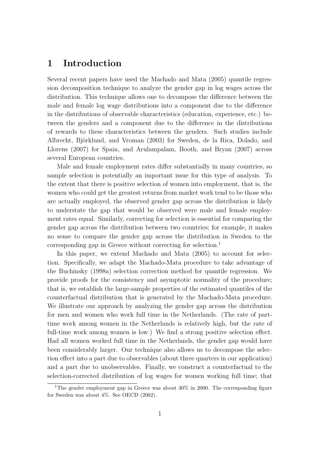## 1 Introduction

Several recent papers have used the Machado and Mata (2005) quantile regression decomposition technique to analyze the gender gap in log wages across the distribution. This technique allows one to decompose the difference between the male and female log wage distributions into a component due to the difference in the distributions of observable characteristics (education, experience, etc.) between the genders and a component due to the difference in the distributions of rewards to these characteristics between the genders. Such studies include Albrecht, Björklund, and Vroman (2003) for Sweden, de la Rica, Dolado, and Llorens (2007) for Spain, and Arulampalam, Booth, and Bryan (2007) across several European countries.

Male and female employment rates differ substantially in many countries, so sample selection is potentially an important issue for this type of analysis. To the extent that there is positive selection of women into employment, that is, the women who could get the greatest returns from market work tend to be those who are actually employed, the observed gender gap across the distribution is likely to understate the gap that would be observed were male and female employment rates equal. Similarly, correcting for selection is essential for comparing the gender gap across the distribution between two countries; for example, it makes no sense to compare the gender gap across the distribution in Sweden to the corresponding gap in Greece without correcting for selection. 1

In this paper, we extend Machado and Mata  $(2005)$  to account for selection. Specifically, we adapt the Machado-Mata procedure to take advantage of the Buchinsky (1998a) selection correction method for quantile regression. We provide proofs for the consistency and asymptotic normality of the procedure; that is, we establish the large-sample properties of the estimated quantiles of the counterfactual distribution that is generated by the Machado-Mata procedure. We illustrate our approach by analyzing the gender gap across the distribution for men and women who work full time in the Netherlands. (The rate of parttime work among women in the Netherlands is relatively high, but the rate of full-time work among women is low.) We find a strong positive selection effect. Had all women worked full time in the Netherlands, the gender gap would have been considerably larger. Our technique also allows us to decompose the selection effect into a part due to observables (about three quarters in our application) and a part due to unobservables. Finally, we construct a counterfactual to the selection-corrected distribution of log wages for women working full time; that

<sup>&</sup>lt;sup>1</sup>The gender employment gap in Greece was about  $30\%$  in 2000. The corresponding figure for Sweden was about 4%. See OECD (2002).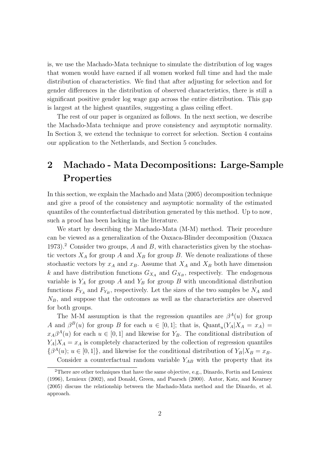is, we use the Machado-Mata technique to simulate the distribution of log wages that women would have earned if all women worked full time and had the male distribution of characteristics. We find that after adjusting for selection and for gender differences in the distribution of observed characteristics, there is still a significant positive gender log wage gap across the entire distribution. This gap is largest at the highest quantiles, suggesting a glass ceiling effect.

The rest of our paper is organized as follows. In the next section, we describe the Machado-Mata technique and prove consistency and asymptotic normality. In Section 3, we extend the technique to correct for selection. Section 4 contains our application to the Netherlands, and Section 5 concludes.

## 2 Machado - Mata Decompositions: Large-Sample Properties

In this section, we explain the Machado and Mata (2005) decomposition technique and give a proof of the consistency and asymptotic normality of the estimated quantiles of the counterfactual distribution generated by this method. Up to now, such a proof has been lacking in the literature.

We start by describing the Machado-Mata (M-M) method. Their procedure can be viewed as a generalization of the Oaxaca-Blinder decomposition (Oaxaca 1973).<sup>2</sup> Consider two groups,  $A$  and  $B$ , with characteristics given by the stochastic vectors  $X_A$  for group A and  $X_B$  for group B. We denote realizations of these stochastic vectors by  $x_A$  and  $x_B$ . Assume that  $X_A$  and  $X_B$  both have dimension k and have distribution functions  $G_{X_A}$  and  $G_{X_B}$ , respectively. The endogenous variable is  $Y_A$  for group A and  $Y_B$  for group B with unconditional distribution functions  $F_{Y_A}$  and  $F_{Y_B}$ , respectively. Let the sizes of the two samples be  $N_A$  and  $N_B$ , and suppose that the outcomes as well as the characteristics are observed for both groups.

The M-M assumption is that the regression quantiles are  $\beta^{A}(u)$  for group A and  $\beta^{B}(u)$  for group B for each  $u \in [0,1]$ ; that is,  $\text{Quant}_{u}(Y_{A}|X_{A} = x_{A}) =$  $x_A\beta^A(u)$  for each  $u \in [0,1]$  and likewise for  $Y_B$ . The conditional distribution of  $Y_A|X_A = x_A$  is completely characterized by the collection of regression quantiles  $\{\beta^{A}(u); u \in [0,1]\},$  and likewise for the conditional distribution of  $Y_B|X_B = x_B$ . Consider a counterfactual random variable  $Y_{AB}$  with the property that its

<sup>2</sup>There are other techniques that have the same objective, e.g., Dinardo, Fortin and Lemieux (1996), Lemieux (2002), and Donald, Green, and Paarsch (2000). Autor, Katz, and Kearney (2005) discuss the relationship between the Machado-Mata method and the Dinardo, et al. approach.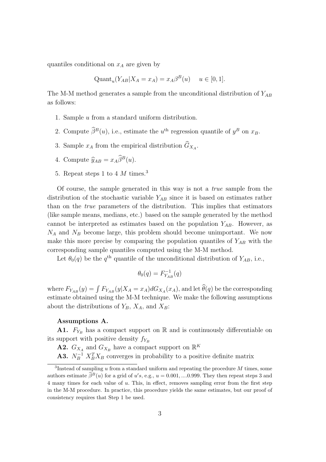quantiles conditional on  $x_A$  are given by

$$
Quant_u(Y_{AB}|X_A = x_A) = x_A \beta^B(u) \quad u \in [0, 1].
$$

The M-M method generates a sample from the unconditional distribution of  $Y_{AB}$ as follows:

- 1. Sample u from a standard uniform distribution.
- 2. Compute  $\hat{\beta}^B(u)$ , i.e., estimate the  $u^{\text{th}}$  regression quantile of  $y^B$  on  $x_B$ .
- 3. Sample  $x_A$  from the empirical distribution  $G_{X_A}$ .
- 4. Compute  $\widehat{\mathbf{y}}_{AB} = x_A \widehat{\beta}^B(u)$ .
- 5. Repeat steps 1 to 4  $M$  times.<sup>3</sup>

Of course, the sample generated in this way is not a true sample from the distribution of the stochastic variable  $Y_{AB}$  since it is based on estimates rather than on the true parameters of the distribution. This implies that estimators (like sample means, medians, etc.) based on the sample generated by the method cannot be interpreted as estimates based on the population  $Y_{AB}$ . However, as  $N_A$  and  $N_B$  become large, this problem should become unimportant. We now make this more precise by comparing the population quantiles of  $Y_{AB}$  with the corresponding sample quantiles computed using the M-M method.

Let  $\theta_0(q)$  be the  $q^{\text{th}}$  quantile of the unconditional distribution of  $Y_{AB}$ , i.e.,

$$
\theta_0(q) = F_{Y_{AB}}^{-1}(q)
$$

where  $F_{Y_{AB}}(y) = \int F_{Y_{AB}}(y|X_A = x_A)dG_{X_A}(x_A)$ , and let  $\widehat{\theta}(q)$  be the corresponding estimate obtained using the M-M technique. We make the following assumptions about the distributions of  $Y_B$ ,  $X_A$ , and  $X_B$ :

#### Assumptions A.

A1.  $F_{Y_B}$  has a compact support on R and is continuously differentiable on its support with positive density  $f_{Y_B}$ 

**A2.**  $G_{X_A}$  and  $G_{X_B}$  have a compact support on  $\mathbb{R}^K$ 

**A3.**  $N_B^{-1} X_B^T X_B$  converges in probability to a positive definite matrix

<sup>&</sup>lt;sup>3</sup>Instead of sampling u from a standard uniform and repeating the procedure  $M$  times, some authors estimate  $\hat{\beta}^B(u)$  for a grid of u's, e.g.,  $u = 0.001, \dots 0.999$ . They then repeat steps 3 and 4 many times for each value of u. This, in effect, removes sampling error from the first step in the M-M procedure. In practice, this procedure yields the same estimates, but our proof of consistency requires that Step 1 be used.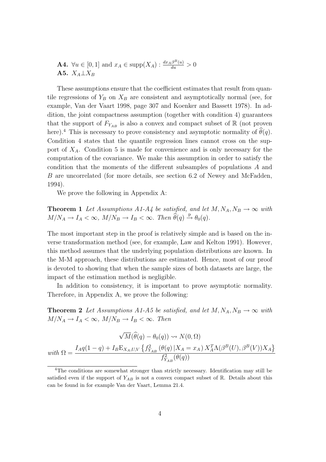**A4.**  $\forall u \in [0,1]$  and  $x_A \in \text{supp}(X_A) : \frac{dx_A\beta^B(u)}{du} > 0$ A5.  $X_A \perp X_B$ 

These assumptions ensure that the coefficient estimates that result from quantile regressions of  $Y_B$  on  $X_B$  are consistent and asymptotically normal (see, for example, Van der Vaart 1998, page 307 and Koenker and Bassett 1978). In addition, the joint compactness assumption (together with condition 4) guarantees that the support of  $F_{Y_{AB}}$  is also a convex and compact subset of  $\mathbb R$  (not proven here).<sup>4</sup> This is necessary to prove consistency and asymptotic normality of  $\theta(q)$ . Condition 4 states that the quantile regression lines cannot cross on the support of  $X_A$ . Condition 5 is made for convenience and is only necessary for the computation of the covariance. We make this assumption in order to satisfy the condition that the moments of the different subsamples of populations A and B are uncorrelated (for more details, see section 6.2 of Newey and McFadden, 1994).

We prove the following in Appendix A:

**Theorem 1** Let Assumptions A1-A4 be satisfied, and let  $M, N_A, N_B \rightarrow \infty$  with  $M/N_A \to I_A < \infty$ ,  $M/N_B \to I_B < \infty$ . Then  $\widehat{\theta}(q) \stackrel{\text{p}}{\to} \theta_0(q)$ .

The most important step in the proof is relatively simple and is based on the inverse transformation method (see, for example, Law and Kelton 1991). However, this method assumes that the underlying population distributions are known. In the M-M approach, these distributions are estimated. Hence, most of our proof is devoted to showing that when the sample sizes of both datasets are large, the impact of the estimation method is negligible.

In addition to consistency, it is important to prove asymptotic normality. Therefore, in Appendix A, we prove the following:

**Theorem 2** Let Assumptions A1-A5 be satisfied, and let  $M, N_A, N_B \rightarrow \infty$  with  $M/N_A \rightarrow I_A < \infty$ ,  $M/N_B \rightarrow I_B < \infty$ . Then

$$
\sqrt{M}(\widehat{\theta}(q) - \theta_0(q)) \rightsquigarrow N(0, \Omega)
$$
  
with 
$$
\Omega = \frac{I_A q(1-q) + I_B E_{X_A, U, V} \left\{ f_{Y_{AB}}^2 \left( \theta(q) \, | X_A = x_A \right) X_A^T \Lambda(\beta^B(U), \beta^B(V)) X_A \right\}}{f_{Y_{AB}}^2(\theta(q))}
$$

<sup>4</sup>The conditions are somewhat stronger than strictly necessary. Identification may still be satisfied even if the support of  $Y_{AB}$  is not a convex compact subset of  $\mathbb R$ . Details about this can be found in for example Van der Vaart, Lemma 21.4.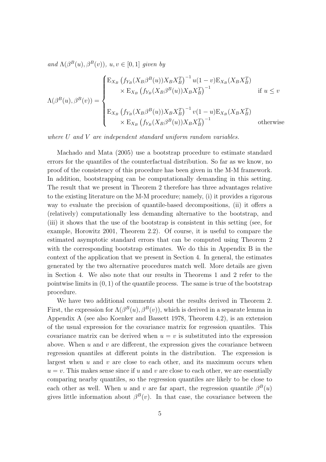and  $\Lambda(\beta^{B}(u), \beta^{B}(v)), u, v \in [0, 1]$  given by

$$
\Lambda(\beta^{B}(u),\beta^{B}(v)) = \begin{cases} \mathbf{E}_{X_{B}}\left(f_{Y_{B}}(X_{B}\beta^{B}(u))X_{B}X_{B}^{T}\right)^{-1}u(1-v)\mathbf{E}_{X_{B}}(X_{B}X_{B}^{T})\\ \times \mathbf{E}_{X_{B}}\left(f_{Y_{B}}(X_{B}\beta^{B}(u))X_{B}X_{B}^{T}\right)^{-1} & \text{if } u \leq v\\ \mathbf{E}_{X_{B}}\left(f_{Y_{B}}(X_{B}\beta^{B}(u))X_{B}X_{B}^{T}\right)^{-1}v(1-u)\mathbf{E}_{X_{B}}(X_{B}X_{B}^{T})\\ \times \mathbf{E}_{X_{B}}\left(f_{Y_{B}}(X_{B}\beta^{B}(u))X_{B}X_{B}^{T}\right)^{-1} & \text{otherwise} \end{cases}
$$

where U and V are independent standard uniform random variables.

Machado and Mata (2005) use a bootstrap procedure to estimate standard errors for the quantiles of the counterfactual distribution. So far as we know, no proof of the consistency of this procedure has been given in the M-M framework. In addition, bootstrapping can be computationally demanding in this setting. The result that we present in Theorem 2 therefore has three advantages relative to the existing literature on the M-M procedure; namely, (i) it provides a rigorous way to evaluate the precision of quantile-based decompositions, (ii) it offers a (relatively) computationally less demanding alternative to the bootstrap, and (iii) it shows that the use of the bootstrap is consistent in this setting (see, for example, Horowitz 2001, Theorem 2.2). Of course, it is useful to compare the estimated asymptotic standard errors that can be computed using Theorem 2 with the corresponding bootstrap estimates. We do this in Appendix B in the context of the application that we present in Section 4. In general, the estimates generated by the two alternative procedures match well. More details are given in Section 4. We also note that our results in Theorems 1 and 2 refer to the pointwise limits in  $(0, 1)$  of the quantile process. The same is true of the bootstrap procedure.

We have two additional comments about the results derived in Theorem 2. First, the expression for  $\Lambda(\beta^B(u), \beta^B(v))$ , which is derived in a separate lemma in Appendix A (see also Koenker and Bassett 1978, Theorem 4.2), is an extension of the usual expression for the covariance matrix for regression quantiles. This covariance matrix can be derived when  $u = v$  is substituted into the expression above. When  $u$  and  $v$  are different, the expression gives the covariance between regression quantiles at different points in the distribution. The expression is largest when  $u$  and  $v$  are close to each other, and its maximum occurs when  $u = v$ . This makes sense since if u and v are close to each other, we are essentially comparing nearby quantiles, so the regression quantiles are likely to be close to each other as well. When u and v are far apart, the regression quantile  $\beta^{B}(u)$ gives little information about  $\beta^{B}(v)$ . In that case, the covariance between the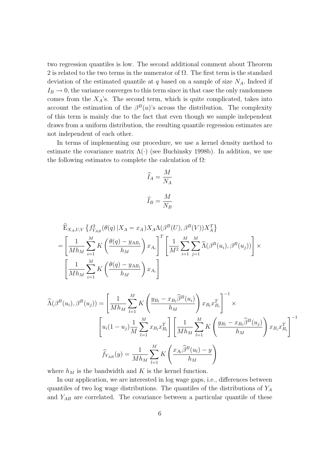two regression quantiles is low. The second additional comment about Theorem 2 is related to the two terms in the numerator of  $\Omega$ . The first term is the standard deviation of the estimated quantile at q based on a sample of size  $N_A$ . Indeed if  $I_B \rightarrow 0$ , the variance converges to this term since in that case the only randomness comes from the  $X_A$ 's. The second term, which is quite complicated, takes into account the estimation of the  $\beta^{B}(u)$ 's across the distribution. The complexity of this term is mainly due to the fact that even though we sample independent draws from a uniform distribution, the resulting quantile regression estimates are not independent of each other.

In terms of implementing our procedure, we use a kernel density method to estimate the covariance matrix  $\Lambda(\cdot)$  (see Buchinsky 1998b). In addition, we use the following estimates to complete the calculation of  $\Omega$ :

$$
\widehat{I}_A = \frac{M}{N_A}
$$

$$
\widehat{I}_B = \frac{M}{N_B}
$$

$$
\widehat{\mathbf{E}}_{X_A, U, V} \left\{ f_{Y_{AB}}^2(\theta(q) | X_A = x_A) X_A \Lambda(\beta^B(U), \beta^B(V)) X_A^T \right\}
$$
\n
$$
= \left[ \frac{1}{M h_M} \sum_{i=1}^M K\left(\frac{\theta(q) - y_{AB_i}}{h_M}\right) x_{A_i} \right]^T \left[ \frac{1}{M^2} \sum_{i=1}^M \sum_{j=1}^M \widehat{\Lambda}(\beta^B(u_i), \beta^B(u_j)) \right] \times \left[ \frac{1}{M h_M} \sum_{i=1}^M K\left(\frac{\theta(q) - y_{AB_i}}{h_M}\right) x_{A_i} \right]
$$

$$
\widehat{\Lambda}(\beta^{B}(u_{i}), \beta^{B}(u_{j})) = \left[\frac{1}{Mh_{M}} \sum_{l=1}^{M} K\left(\frac{y_{B_{l}} - x_{B_{l}} \widehat{\beta}^{B}(u_{i})}{h_{M}}\right) x_{B_{l}} x_{B_{i}}^{T}\right]^{-1} \times \left[u_{i}(1 - u_{j}) \frac{1}{M} \sum_{l=1}^{M} x_{B_{l}} x_{B_{l}}^{T}\right] \left[\frac{1}{Mh_{M}} \sum_{l=1}^{M} K\left(\frac{y_{B_{l}} - x_{B_{l}} \widehat{\beta}^{B}(u_{j})}{h_{M}}\right) x_{B_{i}} x_{B_{i}}^{T}\right]^{-1}
$$
\n
$$
\widehat{f}_{Y_{AB}}(y) = \frac{1}{Mh_{M}} \sum_{l=1}^{M} K\left(\frac{x_{A_{l}} \widehat{\beta}^{B}(u_{l}) - y}{h_{M}}\right)
$$

where  $h_M$  is the bandwidth and K is the kernel function.

In our application, we are interested in log wage gaps, i.e., differences between quantiles of two log wage distributions. The quantiles of the distributions of  $Y_A$ and  $Y_{AB}$  are correlated. The covariance between a particular quantile of these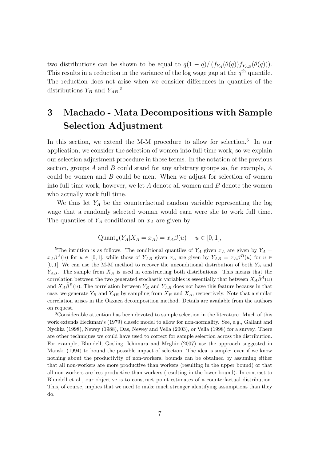two distributions can be shown to be equal to  $q(1-q)/(f_{Y_A}(\theta(q))f_{Y_{AB}}(\theta(q)))$ . This results in a reduction in the variance of the log wage gap at the  $q<sup>th</sup>$  quantile. The reduction does not arise when we consider differences in quantiles of the distributions  $Y_B$  and  $Y_{AB}$ .<sup>5</sup>

# 3 Machado - Mata Decompositions with Sample Selection Adjustment

In this section, we extend the M-M procedure to allow for selection.<sup>6</sup> In our application, we consider the selection of women into full-time work, so we explain our selection adjustment procedure in those terms. In the notation of the previous section, groups A and B could stand for any arbitrary groups so, for example,  $A$ could be women and  $B$  could be men. When we adjust for selection of women into full-time work, however, we let  $A$  denote all women and  $B$  denote the women who actually work full time.

We thus let  $Y_A$  be the counterfactual random variable representing the log wage that a randomly selected woman would earn were she to work full time. The quantiles of  $Y_A$  conditional on  $x_A$  are given by

$$
Quant_u(Y_A | X_A = x_A) = x_A \beta(u) \quad u \in [0, 1],
$$

<sup>6</sup>Considerable attention has been devoted to sample selection in the literature. Much of this work extends Heckman's (1979) classic model to allow for non-normality. See, e.g., Gallant and Nychka (1998), Newey (1988), Das, Newey and Vella (2003), or Vella (1998) for a survey. There are other techniques we could have used to correct for sample selection across the distribution. For example, Blundell, Gosling, Ichimura and Meghir (2007) use the approach suggested in Manski (1994) to bound the possible impact of selection. The idea is simple: even if we know nothing about the productivity of non-workers, bounds can be obtained by assuming either that all non-workers are more productive than workers (resulting in the upper bound) or that all non-workers are less productive than workers (resulting in the lower bound). In contrast to Blundell et al., our objective is to construct point estimates of a counterfactual distribution. This, of course, implies that we need to make much stronger identifying assumptions than they do.

<sup>&</sup>lt;sup>5</sup>The intuition is as follows. The conditional quantiles of  $Y_A$  given  $x_A$  are given by  $Y_A$  =  $x_A\beta^A(u)$  for  $u \in [0,1]$ , while those of  $Y_{AB}$  given  $x_A$  are given by  $Y_{AB} = x_A\beta^B(u)$  for  $u \in$  $[0, 1]$ . We can use the M-M method to recover the unconditional distribution of both  $Y_A$  and  $Y_{AB}$ . The sample from  $X_A$  is used in constructing both distributions. This means that the correlation between the two generated stochastic variables is essentially that between  $X_A\hat{\beta}^A(u)$ and  $X_A\hat{\beta}^B(u)$ . The correlation between  $Y_B$  and  $Y_{AB}$  does not have this feature because in that case, we generate  $Y_B$  and  $Y_{AB}$  by sampling from  $X_B$  and  $X_A$ , respectively. Note that a similar correlation arises in the Oaxaca decomposition method. Details are available from the authors on request.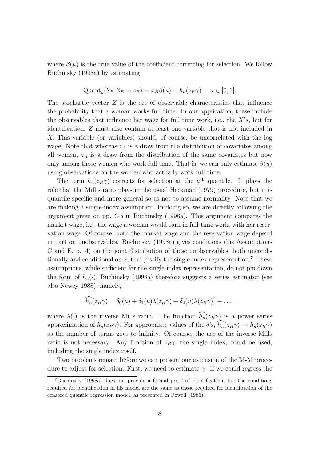where  $\beta(u)$  is the true value of the coefficient correcting for selection. We follow Buchinsky (1998a) by estimating

$$
Quant_u(Y_B | Z_B = z_B) = x_B \beta(u) + h_u(z_B \gamma) \quad u \in [0, 1].
$$

The stochastic vector  $Z$  is the set of observable characteristics that influence the probability that a woman works full time. In our application, these include the observables that influence her wage for full time work, i.e., the  $X's$ , but for identification, Z must also contain at least one variable that is not included in X. This variable (or variables) should, of course, be uncorrelated with the log wage. Note that whereas  $z_A$  is a draw from the distribution of covariates among all women,  $z_B$  is a draw from the distribution of the same covariates but now only among those women who work full time. That is, we can only estimate  $\beta(u)$ using observations on the women who actually work full time.

The term  $h_u(z_B \gamma)$  corrects for selection at the  $u^{\text{th}}$  quantile. It plays the role that the Mill's ratio plays in the usual Heckman (1979) procedure, but it is quantile-specific and more general so as not to assume normality. Note that we are making a single-index assumption. In doing so, we are directly following the argument given on pp. 3-5 in Buchinsky (1998a). This argument compares the market wage, i.e., the wage a woman would earn in full-time work, with her reservation wage. Of course, both the market wage and the reservation wage depend in part on unobservables. Buchinsky (1998a) gives conditions (his Assumptions C and E, p. 4) on the joint distribution of these unobservables, both unconditionally and conditional on  $x$ , that justify the single-index representation.<sup>7</sup> These assumptions, while sufficient for the single-index representation, do not pin down the form of  $h_u(\cdot)$ . Buchinsky (1998a) therefore suggests a series estimator (see also Newey 1988), namely,

$$
\widehat{h_u}(z_B\gamma) = \delta_0(u) + \delta_1(u)\lambda(z_B\gamma) + \delta_2(u)\lambda(z_B\gamma)^2 + \dots,
$$

where  $\lambda(\cdot)$  is the inverse Mills ratio. The function  $\widehat{h_u}(z_B\gamma)$  is a power series approximation of  $h_u(z_B\gamma)$ . For appropriate values of the  $\delta$ 's,  $h_u(z_B\gamma) \to h_u(z_B\gamma)$ as the number of terms goes to infinity. Of course, the use of the inverse Mills ratio is not necessary. Any function of  $z_B\gamma$ , the single index, could be used, including the single index itself.

Two problems remain before we can present our extension of the M-M procedure to adjust for selection. First, we need to estimate  $\gamma$ . If we could regress the

<sup>7</sup>Buchinsky (1998a) does not provide a formal proof of identification, but the conditions required for identification in his model are the same as those required for identification of the censored quantile regression model, as presented in Powell (1986).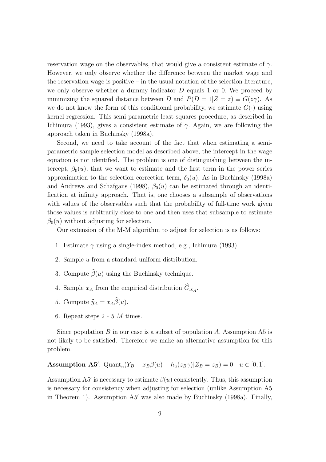reservation wage on the observables, that would give a consistent estimate of  $\gamma$ . However, we only observe whether the difference between the market wage and the reservation wage is positive – in the usual notation of the selection literature, we only observe whether a dummy indicator  $D$  equals 1 or 0. We proceed by minimizing the squared distance between D and  $P(D = 1|Z = z) \equiv G(z\gamma)$ . As we do not know the form of this conditional probability, we estimate  $G(\cdot)$  using kernel regression. This semi-parametric least squares procedure, as described in Ichimura (1993), gives a consistent estimate of  $\gamma$ . Again, we are following the approach taken in Buchinsky (1998a).

Second, we need to take account of the fact that when estimating a semiparametric sample selection model as described above, the intercept in the wage equation is not identified. The problem is one of distinguishing between the intercept,  $\beta_0(u)$ , that we want to estimate and the first term in the power series approximation to the selection correction term,  $\delta_0(u)$ . As in Buchinsky (1998a) and Andrews and Schafgans (1998),  $\beta_0(u)$  can be estimated through an identification at infinity approach. That is, one chooses a subsample of observations with values of the observables such that the probability of full-time work given those values is arbitrarily close to one and then uses that subsample to estimate  $\beta_0(u)$  without adjusting for selection.

Our extension of the M-M algorithm to adjust for selection is as follows:

- 1. Estimate  $\gamma$  using a single-index method, e.g., Ichimura (1993).
- 2. Sample u from a standard uniform distribution.
- 3. Compute  $\widehat{\beta}(u)$  using the Buchinsky technique.
- 4. Sample  $x_A$  from the empirical distribution  $G_{X_A}$ .
- 5. Compute  $\widehat{y}_A = x_A \widehat{\beta}(u)$ .
- 6. Repeat steps  $2 5$  *M* times.

Since population  $B$  in our case is a subset of population  $A$ , Assumption A5 is not likely to be satisfied. Therefore we make an alternative assumption for this problem.

**Assumption A5':** Quant<sub>u</sub> $(Y_B - x_B\beta(u) - h_u(z_B\gamma))Z_B = z_B) = 0$   $u \in [0, 1]$ .

Assumption A5' is necessary to estimate  $\beta(u)$  consistently. Thus, this assumption is necessary for consistency when adjusting for selection (unlike Assumption A5 in Theorem 1). Assumption A5′ was also made by Buchinsky (1998a). Finally,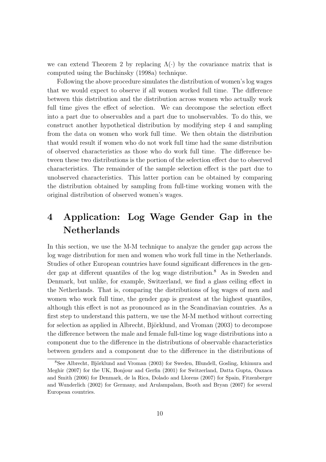we can extend Theorem 2 by replacing  $\Lambda(\cdot)$  by the covariance matrix that is computed using the Buchinsky (1998a) technique.

Following the above procedure simulates the distribution of women's log wages that we would expect to observe if all women worked full time. The difference between this distribution and the distribution across women who actually work full time gives the effect of selection. We can decompose the selection effect into a part due to observables and a part due to unobservables. To do this, we construct another hypothetical distribution by modifying step 4 and sampling from the data on women who work full time. We then obtain the distribution that would result if women who do not work full time had the same distribution of observed characteristics as those who do work full time. The difference between these two distributions is the portion of the selection effect due to observed characteristics. The remainder of the sample selection effect is the part due to unobserved characteristics. This latter portion can be obtained by comparing the distribution obtained by sampling from full-time working women with the original distribution of observed women's wages.

# 4 Application: Log Wage Gender Gap in the Netherlands

In this section, we use the M-M technique to analyze the gender gap across the log wage distribution for men and women who work full time in the Netherlands. Studies of other European countries have found significant differences in the gender gap at different quantiles of the log wage distribution.<sup>8</sup> As in Sweden and Denmark, but unlike, for example, Switzerland, we find a glass ceiling effect in the Netherlands. That is, comparing the distributions of log wages of men and women who work full time, the gender gap is greatest at the highest quantiles, although this effect is not as pronounced as in the Scandinavian countries. As a first step to understand this pattern, we use the M-M method without correcting for selection as applied in Albrecht, Björklund, and Vroman (2003) to decompose the difference between the male and female full-time log wage distributions into a component due to the difference in the distributions of observable characteristics between genders and a component due to the difference in the distributions of

 $8$ See Albrecht, Björklund and Vroman (2003) for Sweden, Blundell, Gosling, Ichimura and Meghir (2007) for the UK, Bonjour and Gerfin (2001) for Switzerland, Datta Gupta, Oaxaca and Smith (2006) for Denmark, de la Rica, Dolado and Llorens (2007) for Spain, Fitzenberger and Wunderlich (2002) for Germany, and Arulampalam, Booth and Bryan (2007) for several European countries.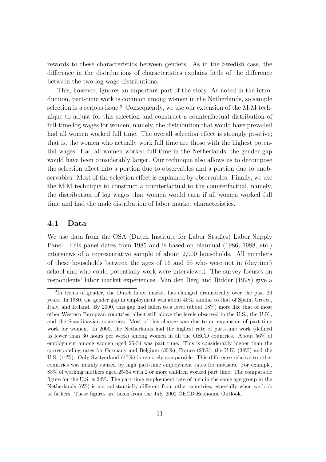rewards to these characteristics between genders. As in the Swedish case, the difference in the distributions of characteristics explains little of the difference between the two log wage distributions.

This, however, ignores an important part of the story. As noted in the introduction, part-time work is common among women in the Netherlands, so sample selection is a serious issue.<sup>9</sup> Consequently, we use our extension of the M-M technique to adjust for this selection and construct a counterfactual distribution of full-time log wages for women, namely, the distribution that would have prevailed had all women worked full time. The overall selection effect is strongly positive; that is, the women who actually work full time are those with the highest potential wages. Had all women worked full time in the Netherlands, the gender gap would have been considerably larger. Our technique also allows us to decompose the selection effect into a portion due to observables and a portion due to unobservables. Most of the selection effect is explained by observables. Finally, we use the M-M technique to construct a counterfactual to the counterfactual, namely, the distribution of log wages that women would earn if all women worked full time and had the male distribution of labor market characteristics.

## 4.1 Data

We use data from the OSA (Dutch Institute for Labor Studies) Labor Supply Panel. This panel dates from 1985 and is based on biannual (1986, 1988, etc.) interviews of a representative sample of about 2,000 households. All members of these households between the ages of 16 and 65 who were not in (daytime) school and who could potentially work were interviewed. The survey focuses on respondents' labor market experiences. Van den Berg and Ridder (1998) give a

<sup>&</sup>lt;sup>9</sup>In terms of gender, the Dutch labor market has changed dramatically over the past 20 years. In 1980, the gender gap in employment was about 40%, similar to that of Spain, Greece, Italy, and Ireland. By 2000, this gap had fallen to a level (about 18%) more like that of most other Western European countries, albeit still above the levels observed in the U.S., the U.K., and the Scandinavian countries. Most of this change was due to an expansion of part-time work for women. In 2000, the Netherlands had the highest rate of part-time work (defined as fewer than 30 hours per week) among women in all the OECD countries. About 56% of employment among women aged 25-54 was part time. This is considerably higher than the corresponding rates for Germany and Belgium (35%), France (23%), the U.K. (38%) and the U.S. (14%). Only Switzerland (47%) is remotely comparable. This difference relative to other countries was mainly caused by high part-time employment rates for mothers. For example, 83% of working mothers aged 25-54 with 2 or more children worked part time. The comparable figure for the U.S. is 24%. The part-time employment rate of men in the same age group in the Netherlands (6%) is not substantially different from other countries, especially when we look at fathers. These figures are taken from the July 2002 OECD Economic Outlook.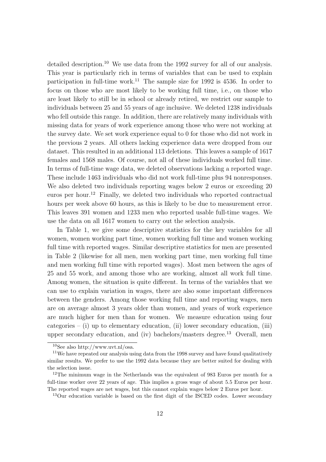detailed description.<sup>10</sup> We use data from the 1992 survey for all of our analysis. This year is particularly rich in terms of variables that can be used to explain participation in full-time work.<sup>11</sup> The sample size for 1992 is 4536. In order to focus on those who are most likely to be working full time, i.e., on those who are least likely to still be in school or already retired, we restrict our sample to individuals between 25 and 55 years of age inclusive. We deleted 1238 individuals who fell outside this range. In addition, there are relatively many individuals with missing data for years of work experience among those who were not working at the survey date. We set work experience equal to 0 for those who did not work in the previous 2 years. All others lacking experience data were dropped from our dataset. This resulted in an additional 113 deletions. This leaves a sample of 1617 females and 1568 males. Of course, not all of these individuals worked full time. In terms of full-time wage data, we deleted observations lacking a reported wage. These include 1463 individuals who did not work full-time plus 94 nonresponses. We also deleted two individuals reporting wages below 2 euros or exceeding 20 euros per hour.<sup>12</sup> Finally, we deleted two individuals who reported contractual hours per week above 60 hours, as this is likely to be due to measurement error. This leaves 391 women and 1233 men who reported usable full-time wages. We use the data on all 1617 women to carry out the selection analysis.

In Table 1, we give some descriptive statistics for the key variables for all women, women working part time, women working full time and women working full time with reported wages. Similar descriptive statistics for men are presented in Table 2 (likewise for all men, men working part time, men working full time and men working full time with reported wages). Most men between the ages of 25 and 55 work, and among those who are working, almost all work full time. Among women, the situation is quite different. In terms of the variables that we can use to explain variation in wages, there are also some important differences between the genders. Among those working full time and reporting wages, men are on average almost 3 years older than women, and years of work experience are much higher for men than for women. We measure education using four categories – (i) up to elementary education, (ii) lower secondary education, (iii) upper secondary education, and (iv) bachelors/masters degree. <sup>13</sup> Overall, men

 $^{10}\text{See}$  also http://www.uvt.nl/osa.

<sup>&</sup>lt;sup>11</sup>We have repeated our analysis using data from the 1998 survey and have found qualitatively similar results. We prefer to use the 1992 data because they are better suited for dealing with the selection issue.

<sup>12</sup>The minimum wage in the Netherlands was the equivalent of 983 Euros per month for a full-time worker over 22 years of age. This implies a gross wage of about 5.5 Euros per hour. The reported wages are net wages, but this cannot explain wages below 2 Euros per hour.

<sup>&</sup>lt;sup>13</sup>Our education variable is based on the first digit of the ISCED codes. Lower secondary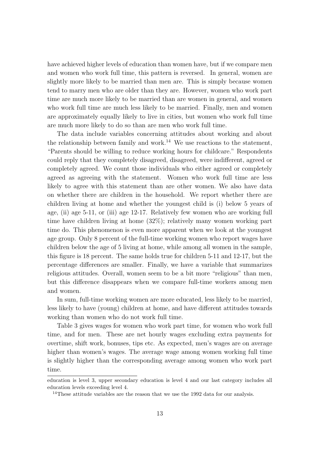have achieved higher levels of education than women have, but if we compare men and women who work full time, this pattern is reversed. In general, women are slightly more likely to be married than men are. This is simply because women tend to marry men who are older than they are. However, women who work part time are much more likely to be married than are women in general, and women who work full time are much less likely to be married. Finally, men and women are approximately equally likely to live in cities, but women who work full time are much more likely to do so than are men who work full time.

The data include variables concerning attitudes about working and about the relationship between family and work.<sup>14</sup> We use reactions to the statement, "Parents should be willing to reduce working hours for childcare." Respondents could reply that they completely disagreed, disagreed, were indifferent, agreed or completely agreed. We count those individuals who either agreed or completely agreed as agreeing with the statement. Women who work full time are less likely to agree with this statement than are other women. We also have data on whether there are children in the household. We report whether there are children living at home and whether the youngest child is (i) below 5 years of age, (ii) age 5-11, or (iii) age 12-17. Relatively few women who are working full time have children living at home (32%); relatively many women working part time do. This phenomenon is even more apparent when we look at the youngest age group. Only 8 percent of the full-time working women who report wages have children below the age of 5 living at home, while among all women in the sample, this figure is 18 percent. The same holds true for children 5-11 and 12-17, but the percentage differences are smaller. Finally, we have a variable that summarizes religious attitudes. Overall, women seem to be a bit more "religious" than men, but this difference disappears when we compare full-time workers among men and women.

In sum, full-time working women are more educated, less likely to be married, less likely to have (young) children at home, and have different attitudes towards working than women who do not work full time.

Table 3 gives wages for women who work part time, for women who work full time, and for men. These are net hourly wages excluding extra payments for overtime, shift work, bonuses, tips etc. As expected, men's wages are on average higher than women's wages. The average wage among women working full time is slightly higher than the corresponding average among women who work part time.

education is level 3, upper secondary education is level 4 and our last category includes all education levels exceeding level 4.

<sup>&</sup>lt;sup>14</sup>These attitude variables are the reason that we use the 1992 data for our analysis.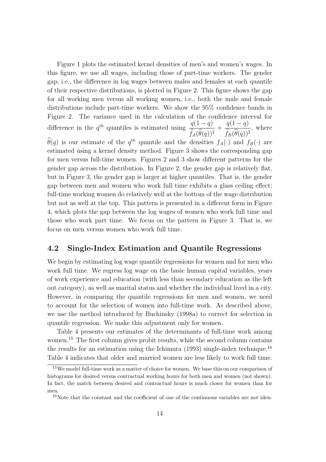Figure 1 plots the estimated kernel densities of men's and women's wages. In this figure, we use all wages, including those of part-time workers. The gender gap, i.e., the difference in log wages between males and females at each quantile of their respective distributions, is plotted in Figure 2. This figure shows the gap for all working men versus all working women, i.e., both the male and female distributions include part-time workers. We show the 95% confidence bands in Figure 2. The variance used in the calculation of the confidence interval for difference in the  $q^{th}$  quantiles is estimated using  $\frac{q(1-q)}{\hat{q}(1-q)}$  $f_A(\theta(q))^2$  $+\frac{q(1-q)}{\widehat{z}\widehat{z}}$  $f_B(\theta(q))^2$ , where

 $\widehat{\theta}(q)$  is our estimate of the  $q^{th}$  quantile and the densities  $f_A(\cdot)$  and  $f_B(\cdot)$  are estimated using a kernel density method. Figure 3 shows the corresponding gap for men versus full-time women. Figures 2 and 3 show different patterns for the gender gap across the distribution. In Figure 2, the gender gap is relatively flat, but in Figure 3, the gender gap is larger at higher quantiles. That is, the gender gap between men and women who work full time exhibits a glass ceiling effect; full-time working women do relatively well at the bottom of the wage distribution but not as well at the top. This pattern is presented in a different form in Figure 4, which plots the gap between the log wages of women who work full time and those who work part time. We focus on the pattern in Figure 3. That is, we focus on men versus women who work full time.

### 4.2 Single-Index Estimation and Quantile Regressions

We begin by estimating log wage quantile regressions for women and for men who work full time. We regress log wage on the basic human capital variables, years of work experience and education (with less than secondary education as the left out category), as well as marital status and whether the individual lived in a city. However, in comparing the quantile regressions for men and women, we need to account for the selection of women into full-time work. As described above, we use the method introduced by Buchinsky (1998a) to correct for selection in quantile regression. We make this adjustment only for women.

Table 4 presents our estimates of the determinants of full-time work among women.<sup>15</sup> The first column gives probit results, while the second column contains the results for an estimation using the Ichimura (1993) single-index technique.<sup>16</sup> Table 4 indicates that older and married women are less likely to work full time.

<sup>15</sup>We model full-time work as a matter of choice for women. We base this on our comparison of histograms for desired versus contractual working hours for both men and women (not shown). In fact, the match between desired and contractual hours is much closer for women than for men.

<sup>&</sup>lt;sup>16</sup>Note that the constant and the coefficient of one of the continuous variables are not iden-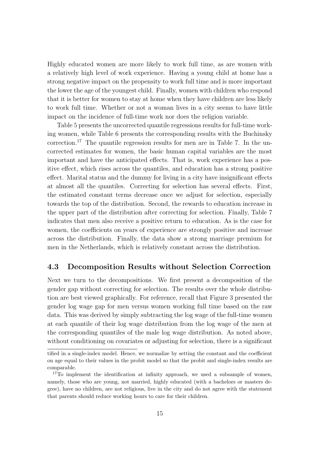Highly educated women are more likely to work full time, as are women with a relatively high level of work experience. Having a young child at home has a strong negative impact on the propensity to work full time and is more important the lower the age of the youngest child. Finally, women with children who respond that it is better for women to stay at home when they have children are less likely to work full time. Whether or not a woman lives in a city seems to have little impact on the incidence of full-time work nor does the religion variable.

Table 5 presents the uncorrected quantile regressions results for full-time working women, while Table 6 presents the corresponding results with the Buchinsky correction.<sup>17</sup> The quantile regression results for men are in Table 7. In the uncorrected estimates for women, the basic human capital variables are the most important and have the anticipated effects. That is, work experience has a positive effect, which rises across the quantiles, and education has a strong positive effect. Marital status and the dummy for living in a city have insignificant effects at almost all the quantiles. Correcting for selection has several effects. First, the estimated constant terms decrease once we adjust for selection, especially towards the top of the distribution. Second, the rewards to education increase in the upper part of the distribution after correcting for selection. Finally, Table 7 indicates that men also receive a positive return to education. As is the case for women, the coefficients on years of experience are strongly positive and increase across the distribution. Finally, the data show a strong marriage premium for men in the Netherlands, which is relatively constant across the distribution.

### 4.3 Decomposition Results without Selection Correction

Next we turn to the decompositions. We first present a decomposition of the gender gap without correcting for selection. The results over the whole distribution are best viewed graphically. For reference, recall that Figure 3 presented the gender log wage gap for men versus women working full time based on the raw data. This was derived by simply subtracting the log wage of the full-time women at each quantile of their log wage distribution from the log wage of the men at the corresponding quantiles of the male log wage distribution. As noted above, without conditioning on covariates or adjusting for selection, there is a significant

tified in a single-index model. Hence, we normalize by setting the constant and the coefficient on age equal to their values in the probit model so that the probit and single-index results are comparable.

 $17$ To implement the identification at infinity approach, we used a subsample of women, namely, those who are young, not married, highly educated (with a bachelors or masters degree), have no children, are not religious, live in the city and do not agree with the statement that parents should reduce working hours to care for their children.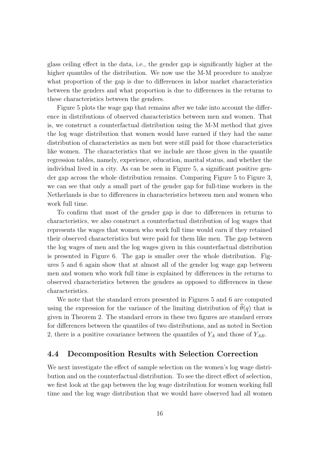glass ceiling effect in the data, i.e., the gender gap is significantly higher at the higher quantiles of the distribution. We now use the M-M procedure to analyze what proportion of the gap is due to differences in labor market characteristics between the genders and what proportion is due to differences in the returns to these characteristics between the genders.

Figure 5 plots the wage gap that remains after we take into account the difference in distributions of observed characteristics between men and women. That is, we construct a counterfactual distribution using the M-M method that gives the log wage distribution that women would have earned if they had the same distribution of characteristics as men but were still paid for those characteristics like women. The characteristics that we include are those given in the quantile regression tables, namely, experience, education, marital status, and whether the individual lived in a city. As can be seen in Figure 5, a significant positive gender gap across the whole distribution remains. Comparing Figure 5 to Figure 3, we can see that only a small part of the gender gap for full-time workers in the Netherlands is due to differences in characteristics between men and women who work full time.

To confirm that most of the gender gap is due to differences in returns to characteristics, we also construct a counterfactual distribution of log wages that represents the wages that women who work full time would earn if they retained their observed characteristics but were paid for them like men. The gap between the log wages of men and the log wages given in this counterfactual distribution is presented in Figure 6. The gap is smaller over the whole distribution. Figures 5 and 6 again show that at almost all of the gender log wage gap between men and women who work full time is explained by differences in the returns to observed characteristics between the genders as opposed to differences in these characteristics.

We note that the standard errors presented in Figures 5 and 6 are computed using the expression for the variance of the limiting distribution of  $\widehat{\theta}(q)$  that is given in Theorem 2. The standard errors in these two figures are standard errors for differences between the quantiles of two distributions, and as noted in Section 2, there is a positive covariance between the quantiles of  $Y_A$  and those of  $Y_{AB}$ .

## 4.4 Decomposition Results with Selection Correction

We next investigate the effect of sample selection on the women's log wage distribution and on the counterfactual distribution. To see the direct effect of selection, we first look at the gap between the log wage distribution for women working full time and the log wage distribution that we would have observed had all women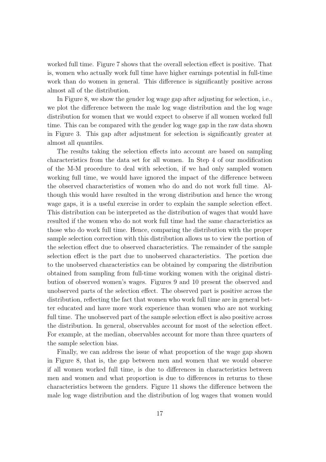worked full time. Figure 7 shows that the overall selection effect is positive. That is, women who actually work full time have higher earnings potential in full-time work than do women in general. This difference is significantly positive across almost all of the distribution.

In Figure 8, we show the gender log wage gap after adjusting for selection, i.e., we plot the difference between the male log wage distribution and the log wage distribution for women that we would expect to observe if all women worked full time. This can be compared with the gender log wage gap in the raw data shown in Figure 3. This gap after adjustment for selection is significantly greater at almost all quantiles.

The results taking the selection effects into account are based on sampling characteristics from the data set for all women. In Step 4 of our modification of the M-M procedure to deal with selection, if we had only sampled women working full time, we would have ignored the impact of the difference between the observed characteristics of women who do and do not work full time. Although this would have resulted in the wrong distribution and hence the wrong wage gaps, it is a useful exercise in order to explain the sample selection effect. This distribution can be interpreted as the distribution of wages that would have resulted if the women who do not work full time had the same characteristics as those who do work full time. Hence, comparing the distribution with the proper sample selection correction with this distribution allows us to view the portion of the selection effect due to observed characteristics. The remainder of the sample selection effect is the part due to unobserved characteristics. The portion due to the unobserved characteristics can be obtained by comparing the distribution obtained from sampling from full-time working women with the original distribution of observed women's wages. Figures 9 and 10 present the observed and unobserved parts of the selection effect. The observed part is positive across the distribution, reflecting the fact that women who work full time are in general better educated and have more work experience than women who are not working full time. The unobserved part of the sample selection effect is also positive across the distribution. In general, observables account for most of the selection effect. For example, at the median, observables account for more than three quarters of the sample selection bias.

Finally, we can address the issue of what proportion of the wage gap shown in Figure 8, that is, the gap between men and women that we would observe if all women worked full time, is due to differences in characteristics between men and women and what proportion is due to differences in returns to these characteristics between the genders. Figure 11 shows the difference between the male log wage distribution and the distribution of log wages that women would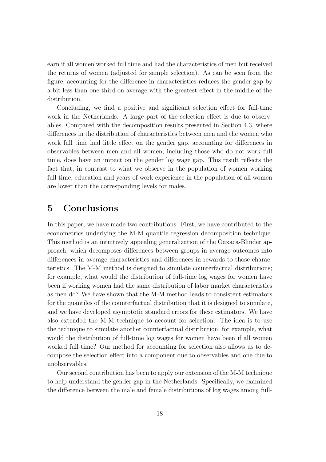earn if all women worked full time and had the characteristics of men but received the returns of women (adjusted for sample selection). As can be seen from the figure, accounting for the difference in characteristics reduces the gender gap by a bit less than one third on average with the greatest effect in the middle of the distribution.

Concluding, we find a positive and significant selection effect for full-time work in the Netherlands. A large part of the selection effect is due to observables. Compared with the decomposition results presented in Section 4.3, where differences in the distribution of characteristics between men and the women who work full time had little effect on the gender gap, accounting for differences in observables between men and all women, including those who do not work full time, does have an impact on the gender log wage gap. This result reflects the fact that, in contrast to what we observe in the population of women working full time, education and years of work experience in the population of all women are lower than the corresponding levels for males.

## 5 Conclusions

In this paper, we have made two contributions. First, we have contributed to the econometrics underlying the M-M quantile regression decomposition technique. This method is an intuitively appealing generalization of the Oaxaca-Blinder approach, which decomposes differences between groups in average outcomes into differences in average characteristics and differences in rewards to those characteristics. The M-M method is designed to simulate counterfactual distributions; for example, what would the distribution of full-time log wages for women have been if working women had the same distribution of labor market characteristics as men do? We have shown that the M-M method leads to consistent estimators for the quantiles of the counterfactual distribution that it is designed to simulate, and we have developed asymptotic standard errors for these estimators. We have also extended the M-M technique to account for selection. The idea is to use the technique to simulate another counterfactual distribution; for example, what would the distribution of full-time log wages for women have been if all women worked full time? Our method for accounting for selection also allows us to decompose the selection effect into a component due to observables and one due to unobservables.

Our second contribution has been to apply our extension of the M-M technique to help understand the gender gap in the Netherlands. Specifically, we examined the difference between the male and female distributions of log wages among full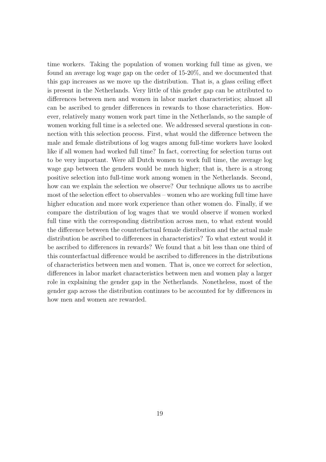time workers. Taking the population of women working full time as given, we found an average log wage gap on the order of 15-20%, and we documented that this gap increases as we move up the distribution. That is, a glass ceiling effect is present in the Netherlands. Very little of this gender gap can be attributed to differences between men and women in labor market characteristics; almost all can be ascribed to gender differences in rewards to those characteristics. However, relatively many women work part time in the Netherlands, so the sample of women working full time is a selected one. We addressed several questions in connection with this selection process. First, what would the difference between the male and female distributions of log wages among full-time workers have looked like if all women had worked full time? In fact, correcting for selection turns out to be very important. Were all Dutch women to work full time, the average log wage gap between the genders would be much higher; that is, there is a strong positive selection into full-time work among women in the Netherlands. Second, how can we explain the selection we observe? Our technique allows us to ascribe most of the selection effect to observables – women who are working full time have higher education and more work experience than other women do. Finally, if we compare the distribution of log wages that we would observe if women worked full time with the corresponding distribution across men, to what extent would the difference between the counterfactual female distribution and the actual male distribution be ascribed to differences in characteristics? To what extent would it be ascribed to differences in rewards? We found that a bit less than one third of this counterfactual difference would be ascribed to differences in the distributions of characteristics between men and women. That is, once we correct for selection, differences in labor market characteristics between men and women play a larger role in explaining the gender gap in the Netherlands. Nonetheless, most of the gender gap across the distribution continues to be accounted for by differences in how men and women are rewarded.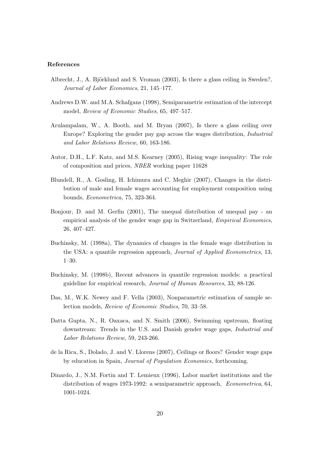#### References

- Albrecht, J., A. Björklund and S. Vroman  $(2003)$ , Is there a glass ceiling in Sweden?, Journal of Labor Economics, 21, 145–177.
- Andrews D.W. and M.A. Schafgans (1998), Semiparametric estimation of the intercept model, Review of Economic Studies, 65, 497–517.
- Arulampalam, W., A. Booth, and M. Bryan (2007), Is there a glass ceiling over Europe? Exploring the gender pay gap across the wages distribution, Industrial and Labor Relations Review, 60, 163-186.
- Autor, D.H., L.F. Katz, and M.S. Kearney (2005), Rising wage inequality: The role of composition and prices, NBER working paper 11628
- Blundell, R., A. Gosling, H. Ichimura and C. Meghir (2007), Changes in the distribution of male and female wages accounting for employment composition using bounds, Econometrica, 75, 323-364.
- Bonjour, D. and M. Gerfin (2001), The unequal distribution of unequal pay an empirical analysis of the gender wage gap in Switzerland, Empirical Economics, 26, 407–427.
- Buchinsky, M. (1998a), The dynamics of changes in the female wage distribution in the USA: a quantile regression approach, Journal of Applied Econometrics, 13, 1–30.
- Buchinsky, M. (1998b), Recent advances in quantile regression models: a practical guideline for empirical research, Journal of Human Resources, 33, 88-126.
- Das, M., W.K. Newey and F. Vella (2003), Nonparametric estimation of sample selection models, Review of Economic Studies, 70, 33–58.
- Datta Gupta, N., R. Oaxaca, and N. Smith (2006), Swimming upstream, floating downstream: Trends in the U.S. and Danish gender wage gaps, Industrial and Labor Relations Review, 59, 243-266.
- de la Rica, S., Dolado, J. and V. Llorens (2007), Ceilings or floors? Gender wage gaps by education in Spain, Journal of Population Economics, forthcoming.
- Dinardo, J., N.M. Fortin and T. Lemieux (1996), Labor market institutions and the distribution of wages 1973-1992: a semiparametric approach, Econometrica, 64, 1001-1024.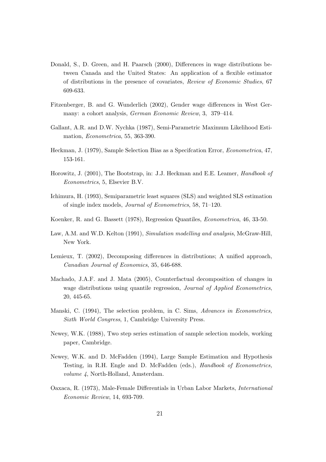- Donald, S., D. Green, and H. Paarsch (2000), Differences in wage distributions between Canada and the United States: An application of a flexible estimator of distributions in the presence of covariates, Review of Economic Studies, 67 609-633.
- Fitzenberger, B. and G. Wunderlich (2002), Gender wage differences in West Germany: a cohort analysis, German Economic Review, 3, 379–414.
- Gallant, A.R. and D.W. Nychka (1987), Semi-Parametric Maximum Likelihood Estimation, Econometrica, 55, 363-390.
- Heckman, J. (1979), Sample Selection Bias as a Specifcation Error, Econometrica, 47, 153-161.
- Horowitz, J. (2001), The Bootstrap, in: J.J. Heckman and E.E. Leamer, *Handbook of* Econometrics, 5, Elsevier B.V.
- Ichimura, H. (1993), Semiparametric least squares (SLS) and weighted SLS estimation of single index models, Journal of Econometrics, 58, 71–120.
- Koenker, R. and G. Bassett (1978), Regression Quantiles, Econometrica, 46, 33-50.
- Law, A.M. and W.D. Kelton (1991), Simulation modelling and analysis, McGraw-Hill, New York.
- Lemieux, T. (2002), Decomposing differences in distributions; A unified approach, Canadian Journal of Economics, 35, 646-688.
- Machado, J.A.F. and J. Mata (2005), Counterfactual decomposition of changes in wage distributions using quantile regression, *Journal of Applied Econometrics*, 20, 445-65.
- Manski, C. (1994), The selection problem, in C. Sims, Advances in Econometrics, Sixth World Congress, 1, Cambridge University Press.
- Newey, W.K. (1988), Two step series estimation of sample selection models, working paper, Cambridge.
- Newey, W.K. and D. McFadden (1994), Large Sample Estimation and Hypothesis Testing, in R.H. Engle and D. McFadden (eds.), Handbook of Econometrics, volume 4, North-Holland, Amsterdam.
- Oaxaca, R. (1973), Male-Female Differentials in Urban Labor Markets, International Economic Review, 14, 693-709.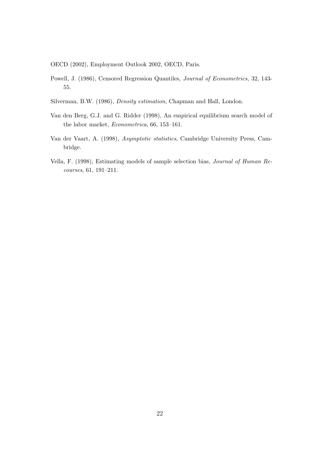OECD (2002), Employment Outlook 2002, OECD, Paris.

- Powell, J. (1986), Censored Regression Quantiles, Journal of Econometrics, 32, 143- 55.
- Silverman, B.W. (1986), Density estimation, Chapman and Hall, London.
- Van den Berg, G.J. and G. Ridder (1998), An empirical equilibrium search model of the labor market, Econometrica, 66, 153–161.
- Van der Vaart, A. (1998), Asymptotic statistics, Cambridge University Press, Cambridge.
- Vella, F. (1998), Estimating models of sample selection bias, Journal of Human Recourses, 61, 191–211.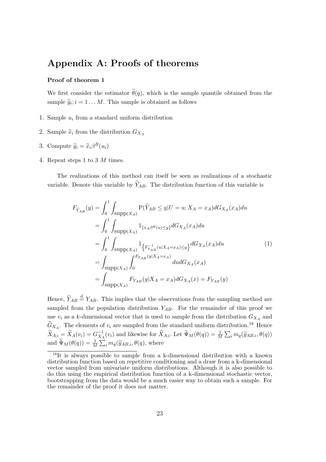## Appendix A: Proofs of theorems

#### Proof of theorem 1

We first consider the estimator  $\tilde{\theta}(q)$ , which is the sample quantile obtained from the sample  $\tilde{y}_i$ ;  $i = 1 \dots M$ . This sample is obtained as follows

- 1. Sample  $u_i$  from a standard uniform distribution
- 2. Sample  $\widetilde{x}_i$  from the distribution  $G_{X_A}$
- 3. Compute  $\widetilde{y}_i = \widetilde{x}_i \beta^B(u_i)$
- 4. Repeat steps 1 to 3 M times.

The realizations of this method can itself be seen as realizations of a stochastic variable. Denote this variable by  $\widetilde{Y}_{AB}$ . The distribution function of this variable is

$$
F_{\widetilde{Y}_{AB}}(y) = \int_0^1 \int_{\text{supp}(X_A)} P(\widetilde{Y}_{AB} \le y | U = u; X_A = x_A) dG_{X_A}(x_A) du
$$
  
\n
$$
= \int_0^1 \int_{\text{supp}(X_A)} 1_{\{x_A \beta^B(u) \le y\}} dG_{X_A}(x_A) du
$$
  
\n
$$
= \int_0^1 \int_{\text{supp}(X_A)} 1_{\{F_{AB}^{-1}(u | X_A = x_A) \le y\}} dG_{X_A}(x_A) du
$$
  
\n
$$
= \int_{\text{supp}(X_A)} \int_0^{F_{Y_{AB}}(y | X_A = x_A)} du dG_{X_A}(x_A)
$$
  
\n
$$
= \int_{\text{supp}(X_A)} F_{Y_{AB}}(y | X_A = x_A) dG_{X_A}(x) = F_{Y_{AB}}(y)
$$
  
\n(1)

Hence,  $\widetilde{Y}_{AB} \stackrel{d}{=} Y_{AB}$ . This implies that the observations from the sampling method are sampled from the population distribution  $Y_{AB}$ . For the remainder of this proof we use  $v_i$  as a k-dimensional vector that is used to sample from the distribution  $G_{X_A}$  and  $\hat{G}_{X_A}$ . The elements of  $v_i$  are sampled from the standard uniform distribution.<sup>18</sup> Hence  $\widetilde{X}_{A,i} = \widetilde{X}_A(v_i) = G_{X_A}^{-1}(v_i)$  and likewise for  $\widehat{X}_{A,i}$ . Let  $\widetilde{\Psi}_M(\theta(q)) = \frac{1}{M} \sum_i m_q(\widetilde{y}_{AB,i}, \theta(q))$ and  $\widehat{\Psi}_M(\theta(q)) = \frac{1}{M} \sum_i m_q(\widehat{y}_{AB,i}, \theta(q), \text{ where})$ 

<sup>18</sup>It is always possible to sample from a k-dimensional distribution with a known distribution function based on repetitive conditioning and a draw from a k-dimensional vector sampled from univariate uniform distributions. Although it is also possible to do this using the empirical distribution function of a k-dimensional stochastic vector, bootstrapping from the data would be a much easier way to obtain such a sample. For the remainder of the proof it does not matter.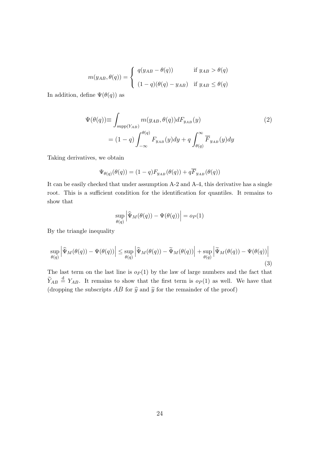$$
m(y_{AB}, \theta(q)) = \begin{cases} q(y_{AB} - \theta(q)) & \text{if } y_{AB} > \theta(q) \\ (1 - q)(\theta(q) - y_{AB}) & \text{if } y_{AB} \le \theta(q) \end{cases}
$$

In addition, define  $\Psi(\theta(q))$  as

$$
\Psi(\theta(q)) \equiv \int_{\text{supp}(Y_{AB})} m(y_{AB}, \theta(q)) dF_{y_{AB}}(y)
$$
\n
$$
= (1 - q) \int_{-\infty}^{\theta(q)} F_{y_{AB}}(y) dy + q \int_{\theta(q)}^{\infty} \overline{F}_{y_{AB}}(y) dy
$$
\n(2)

Taking derivatives, we obtain

$$
\Psi_{\theta(q)}(\theta(q))=(1-q)F_{y_{AB}}(\theta(q))+q\overline{F}_{y_{AB}}(\theta(q))
$$

It can be easily checked that under assumption A-2 and A-4, this derivative has a single root. This is a sufficient condition for the identification for quantiles. It remains to show that

$$
\sup_{\theta(q)} \left| \widehat{\Psi}_M(\theta(q)) - \Psi(\theta(q)) \right| = o_P(1)
$$

By the triangle inequality

$$
\sup_{\theta(q)} \left| \widehat{\Psi}_M(\theta(q)) - \Psi(\theta(q)) \right| \leq \sup_{\theta(q)} \left| \widehat{\Psi}_M(\theta(q)) - \widetilde{\Psi}_M(\theta(q)) \right| + \sup_{\theta(q)} \left| \widetilde{\Psi}_M(\theta(q)) - \Psi(\theta(q)) \right|
$$
\n(3)

The last term on the last line is  $o_P(1)$  by the law of large numbers and the fact that  $\widetilde{Y}_{AB} \stackrel{\text{d}}{=} Y_{AB}$ . It remains to show that the first term is  $o_P(1)$  as well. We have that (dropping the subscripts  $AB$  for  $\hat{y}$  and  $\tilde{y}$  for the remainder of the proof)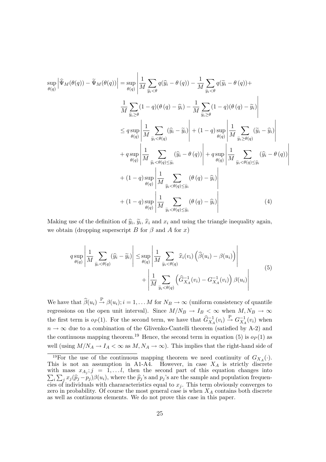$$
\sup_{\theta(q)} \left| \widehat{\Psi}_{M}(\theta(q)) - \widetilde{\Psi}_{M}(\theta(q)) \right| = \sup_{\theta(q)} \left| \frac{1}{M} \sum_{\widehat{y}_{i} < \theta} q(\widehat{y}_{i} - \theta(q)) - \frac{1}{M} \sum_{\widehat{y}_{i} < \theta} q(\widetilde{y}_{i} - \theta(q)) + \frac{1}{M} \sum_{\widehat{y}_{i} < \theta} (1 - q)(\theta(q) - \widehat{y}_{i}) - \frac{1}{M} \sum_{\widehat{y}_{i} < \theta} (1 - q)(\theta(q) - \widetilde{y}_{i}) \right|
$$
\n
$$
\leq q \sup_{\theta(q)} \left| \frac{1}{M} \sum_{\widehat{y}_{i} < \theta(q)} (\widehat{y}_{i} - \widetilde{y}_{i}) \right| + (1 - q) \sup_{\theta(q)} \left| \frac{1}{M} \sum_{\widehat{y}_{i} > \theta(q)} (\widetilde{y}_{i} - \widehat{y}_{i}) \right|
$$
\n
$$
+ q \sup_{\theta(q)} \left| \frac{1}{M} \sum_{\widehat{y}_{i} < \theta(q) \le \widetilde{y}_{i}} (\widehat{y}_{i} - \theta(q)) \right| + q \sup_{\theta(q)} \left| \frac{1}{M} \sum_{\widehat{y}_{i} < \theta(q) \le \widehat{y}_{i}} (\widehat{y}_{i} - \theta(q)) \right|
$$
\n
$$
+ (1 - q) \sup_{\theta(q)} \left| \frac{1}{M} \sum_{\widehat{y}_{i} < \theta(q) \le \widetilde{y}_{i}} (\theta(q) - \widehat{y}_{i}) \right|
$$
\n
$$
+ (1 - q) \sup_{\theta(q)} \left| \frac{1}{M} \sum_{\widehat{y}_{i} < \theta(q) \le \widehat{y}_{i}} (\theta(q) - \widehat{y}_{i}) \right| \tag{4}
$$

Making use of the definition of  $\hat{y}_i$ ,  $\hat{y}_i$ ,  $\hat{x}_i$  and  $x_i$  and using the triangle inequality again, we obtain (dropping superscript B for  $\beta$  and A for x)

$$
q \sup_{\theta(q)} \left| \frac{1}{M} \sum_{\widetilde{y}_i < \theta(q)} (\widehat{y}_i - \widetilde{y}_i) \right| \leq \sup_{\theta(q)} \left| \frac{1}{M} \sum_{\widetilde{y}_i < \theta(q)} \widehat{x}_i(v_i) \left( \widehat{\beta}(u_i) - \beta(u_i) \right) \right| + \left| \frac{1}{M} \sum_{\widetilde{y}_i < \theta(q)} \left( \widehat{G}_{X_A}^{-1}(v_i) - G_{X_A}^{-1}(v_i) \right) \beta(u_i) \right| \tag{5}
$$

We have that  $\widehat{\beta}(u_i) \stackrel{\text{P}}{\rightarrow} \beta(u_i); i = 1, \dots M$  for  $N_B \rightarrow \infty$  (uniform consistency of quantile regressions on the open unit interval). Since  $M/N_B \to I_B < \infty$  when  $M, N_B \to \infty$ the first term is  $o_P(1)$ . For the second term, we have that  $\hat{G}_{X_A}^{-1}(v_i) \stackrel{\text{P}}{\rightarrow} G_{X_A}^{-1}(v_i)$  when  $n \to \infty$  due to a combination of the Glivenko-Cantelli theorem (satisfied by A-2) and the continuous mapping theorem.<sup>19</sup> Hence, the second term in equation (5) is  $o_P(1)$  as well (using  $M/N_A \to I_A < \infty$  as  $M, N_A \to \infty$ ). This implies that the right-hand side of

<sup>&</sup>lt;sup>19</sup>For the use of the continuous mapping theorem we need continuity of  $G_{X_A}(\cdot)$ . This is not an assumption in A1-A4. However, in case  $X_A$  is strictly discrete with mass  $x_{A_j}$ ;  $j = 1,...l$ , then the second part of this equation changes into  $\sum_i \sum_j x_j (\widehat{p}_j - p_j) \beta(u_i)$ , where the  $\widehat{p}_j$ 's and  $p_j$ 's are the sample and population frequencies of individuals with characteristics equal to  $x_j$ . This term obviously converges to zero in probability. Of course the most general case is when  $X_A$  contains both discrete as well as continuous elements. We do not prove this case in this paper.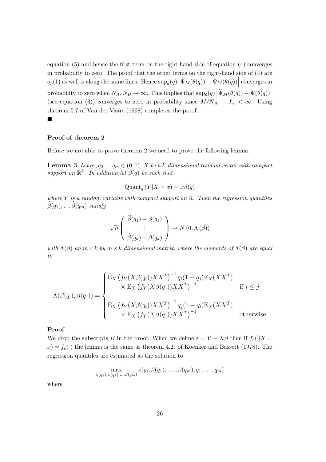equation (5) and hence the first term on the right-hand side of equation (4) converges in probability to zero. The proof that the other terms on the right-hand side of (4) are  $o_p(1)$  as well is along the same lines. Hence  $\sup_{\theta}(q) \left| \widehat{\Psi}_M(\theta(q)) - \widetilde{\Psi}_M(\theta(q)) \right|$  converges in probability to zero when  $N_A, N_B \to \infty$ . This implies that  $\sup_{\theta}(q) \left| \widehat{\Psi}_M(\theta(q)) - \Psi(\theta(q)) \right|$ (see equation (3)) converges to zero in probability since  $M/N_A^{\perp} \rightarrow I_A < \infty$ . Using theorem 5.7 of Van der Vaart (1998) completes the proof.

#### ш

### Proof of theorem 2

Before we are able to prove theorem 2 we need to prove the following lemma.

**Lemma 3** Let  $q_1, q_2, \ldots, q_m \in (0, 1)$ , X be a k-dimensional random vector with compact support on  $\mathbb{R}^k$ . In addition let  $\beta(q)$  be such that

$$
\mathrm{Quant}_{q}\left(Y|X=x\right)=x\beta(q)
$$

where Y is a random variable with compact support on  $\mathbb{R}$ . Then the regression quantiles  $\widehat{\beta}(q_1), \ldots \widehat{\beta}(q_m)$  satisfy

$$
\sqrt{n}\left(\begin{array}{c}\widehat{\beta}(q_1)-\beta(q_1)\\ \vdots\\ \widehat{\beta}(q_k)-\beta(q_k)\end{array}\right)\to N(0,\Lambda(\beta))
$$

with  $\Lambda(\beta)$  an  $m \times k$  by  $m \times k$  dimensional matrix, where the elements of  $\Lambda(\beta)$  are equal to

$$
\Lambda(\beta(q_i), \beta(q_j)) = \begin{cases} \mathbf{E}_X \left( f_Y(X\beta(q_i))XX^T \right)^{-1} q_i (1-q_j) \mathbf{E}_X (XX^T) \\ \times \mathbf{E}_X \left( f_Y(X\beta(q_j))XX^T \right)^{-1} & \text{if } i \leq j \\ \mathbf{E}_X \left( f_Y(X\beta(q_i))XX^T \right)^{-1} q_j (1-q_i) \mathbf{E}_X (XX^T) \\ \times \mathbf{E}_X \left( f_Y(X\beta(q_j))XX^T \right)^{-1} & \text{otherwise} \end{cases}
$$

#### Proof

We drop the subscripts B in the proof. When we define  $\varepsilon = Y - X\beta$  then if  $f_{\varepsilon}(\cdot|X =$  $x$ ) =  $f_{\varepsilon}(\cdot)$  the lemma is the same as theorem 4.2. of Koenker and Bassett (1978). The regression quantiles are estimated as the solution to

$$
\max_{\beta(q_1),\beta(q_2),\ldots,\beta(q_m)} z(y_i,\beta(q_1),\ldots,\beta(q_m),q_1,\ldots,q_m)
$$

where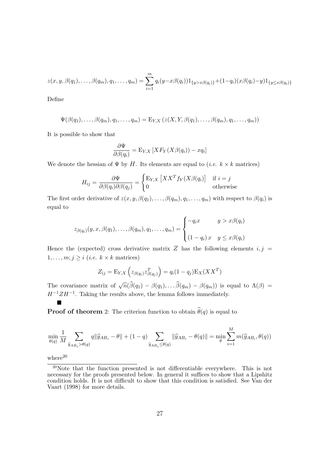$$
z(x, y, \beta(q_1), \ldots, \beta(q_m), q_1, \ldots, q_m) = \sum_{i=1}^m q_i(y-x\beta(q_i))1_{\{y>x\beta(q_i)\}} + (1-q_i)(x\beta(q_i)-y)1_{\{y\leq x\beta(q_i)\}}
$$

Define

$$
\Psi(\beta(q_1),\ldots,\beta(q_m),q_1,\ldots,q_m)=\mathrm{E}_{Y,X}\left(z(X,Y,\beta(q_1),\ldots,\beta(q_m),q_1,\ldots,q_m)\right)
$$

It is possible to show that

$$
\frac{\partial \Psi}{\partial \beta(q_i)} = \mathop{\mathrm{E}}\nolimits_{Y,X} \left[ X F_Y(X \beta(q_i)) - x q_i \right]
$$

We denote the hessian of  $\Psi$  by H. Its elements are equal to (*i.e.*  $k \times k$  matrices)

$$
H_{ij} = \frac{\partial \Psi}{\partial \beta(q_i)\partial \beta(q_j)} = \begin{cases} \mathbf{E}_{Y,X} \left[ XX^T f_Y(X\beta(q_i)) \right] & \text{if } i = j \\ 0 & \text{otherwise} \end{cases}
$$

The first order derivative of  $z(x, y, \beta(q_1), \ldots, \beta(q_m), q_1, \ldots, q_m)$  with respect to  $\beta(q_i)$  is equal to

$$
z_{\beta(q_i)}(y, x, \beta(q_1), \dots, \beta(q_m), q_1, \dots, q_m) = \begin{cases} -q_i x & y > x\beta(q_i) \\ (1 - q_i) x & y \leq x\beta(q_i) \end{cases}
$$

Hence the (expected) cross derivative matrix Z has the following elements  $i, j =$  $1, \ldots, m; j \geq i$  (*i.e.*  $k \times k$  matrices)

$$
Z_{ij} = \mathbf{E}_{Y,X} \left( z_{\beta(q_i)} z_{\beta(q_j)}^T \right) = q_i (1 - q_j) \mathbf{E}_X (XX^T)
$$

The covariance matrix of  $\sqrt{n}(\widehat{\beta}(q_1) - \beta(q_1), \ldots \widehat{\beta}(q_m) - \beta(q_m))$  is equal to  $\Lambda(\beta) =$  $H^{-1}ZH^{-1}$ . Taking the results above, the lemma follows immediately.

**Proof of theorem** 2: The criterion function to obtain  $\widehat{\theta}(q)$  is equal to

$$
\min_{\theta(q)} \frac{1}{M} \sum_{\hat{y}_{AB_i} > \theta(q)} q \|\hat{y}_{AB_i} - \theta\| + (1 - q) \sum_{\hat{y}_{AB_i} \le \theta(q)} \|\hat{y}_{AB_i} - \theta(q)\| = \min_{\theta} \sum_{i=1}^{M} m(\hat{y}_{AB_i}, \theta(q))
$$

 $where<sup>20</sup>$ 

п

<sup>20</sup>Note that the function presented is not differentiable everywhere. This is not necessary for the proofs presented below. In general it suffices to show that a Lipshitz condition holds. It is not difficult to show that this condition is satisfied. See Van der Vaart (1998) for more details.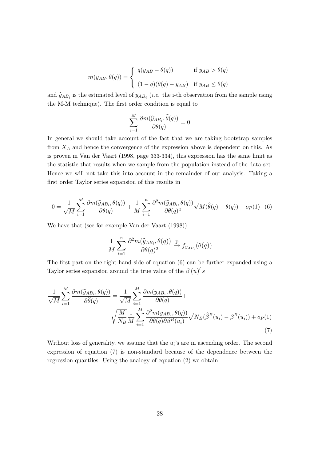$$
m(y_{AB}, \theta(q)) = \begin{cases} q(y_{AB} - \theta(q)) & \text{if } y_{AB} > \theta(q) \\ (1 - q)(\theta(q) - y_{AB}) & \text{if } y_{AB} \le \theta(q) \end{cases}
$$

and  $\hat{y}_{AB_i}$  is the estimated level of  $y_{AB_i}$  (*i.e.* the i-th observation from the sample using the M-M technique). The first order condition is equal to

$$
\sum_{i=1}^{M} \frac{\partial m(\widehat{y}_{AB_i}, \widehat{\theta}(q))}{\partial \theta(q)} = 0
$$

In general we should take account of the fact that we are taking bootstrap samples from  $X_A$  and hence the convergence of the expression above is dependent on this. As is proven in Van der Vaart (1998, page 333-334), this expression has the same limit as the statistic that results when we sample from the population instead of the data set. Hence we will not take this into account in the remainder of our analysis. Taking a first order Taylor series expansion of this results in

$$
0 = \frac{1}{\sqrt{M}} \sum_{i=1}^{M} \frac{\partial m(\widehat{y}_{AB_i}, \theta(q))}{\partial \theta(q)} + \frac{1}{M} \sum_{i=1}^{n} \frac{\partial^2 m(\widehat{y}_{AB_i}, \theta(q))}{\partial \theta(q)^2} \sqrt{M}(\widehat{\theta}(q) - \theta(q)) + op(1) \quad (6)
$$

We have that (see for example Van der Vaart (1998))

$$
\frac{1}{M}\sum_{i=1}^n \frac{\partial^2 m(\widehat{y}_{AB_i},\theta(q))}{\partial \theta(q)^2} \overset{\text{P}}{\to} f_{y_{AB_i}}(\theta(q))
$$

The first part on the right-hand side of equation (6) can be further expanded using a Taylor series expansion around the true value of the  $\beta(u)'s$ 

$$
\frac{1}{\sqrt{M}}\sum_{i=1}^{M}\frac{\partial m(\widehat{y}_{AB_i},\theta(q))}{\partial \widehat{\theta}(q)} = \frac{1}{\sqrt{M}}\sum_{i=1}^{M}\frac{\partial m(y_{AB_i},\theta(q))}{\partial \theta(q)} + \sqrt{\frac{M}{N_B}\frac{1}{M}\sum_{i=1}^{M}\frac{\partial^2 m(y_{AB_i},\theta(q))}{\partial \theta(q)\partial \beta^B(u_i)}}\sqrt{N_B}(\widehat{\beta}^B(u_i) - \beta^B(u_i)) + op(1)
$$
\n(7)

Without loss of generality, we assume that the  $u_i$ 's are in ascending order. The second expression of equation (7) is non-standard because of the dependence between the regression quantiles. Using the analogy of equation (2) we obtain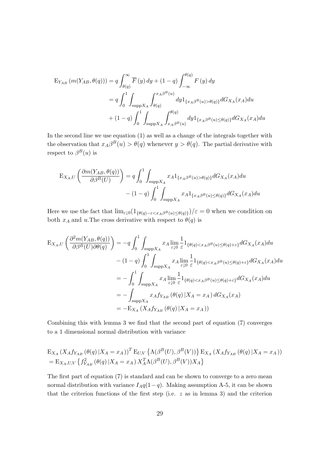$$
E_{Y_{AB}} (m(Y_{AB}, \theta(q))) = q \int_{\theta(q)}^{\infty} \overline{F}(y) dy + (1-q) \int_{-\infty}^{\theta(q)} F(y) dy
$$
  
=  $q \int_{0}^{1} \int_{\text{supp}X_A} \int_{\theta(q)}^{x_A \beta^{B}(u)} dy 1_{\{x_A \beta^{B}(u) > \theta(q)\}} dG_{X_A}(x_A) du$   
+  $(1-q) \int_{0}^{1} \int_{\text{supp}X_A} \int_{x_A \beta^{B}(u)}^{ \theta(q)} dy 1_{\{x_A \beta^{B}(u) \le \theta(q)\}} dG_{X_A}(x_A) du$ 

In the second line we use equation (1) as well as a change of the integrals together with the observation that  $x_A\beta^B(u) > \theta(q)$  whenever  $y > \theta(q)$ . The partial derivative with respect to  $\beta^{B}(u)$  is

$$
\mathcal{E}_{X_A,U} \left( \frac{\partial m(Y_{AB}, \theta(q))}{\partial \beta^B(U)} \right) = q \int_0^1 \int_{\text{supp} X_A} x_A 1_{\{x_A \beta^B(u) > \theta(q)\}} dG_{X_A}(x_A) du
$$

$$
- (1-q) \int_0^1 \int_{\text{supp} X_A} x_A 1_{\{x_A \beta^B(u) \le \theta(q)\}} dG_{X_A}(x_A) du
$$

Here we use the fact that  $\lim_{\varepsilon \downarrow 0} (1_{\{\theta(q) - \varepsilon < x_A \beta^B(u) \leq \theta(q)\}})/\varepsilon = 0$  when we condition on both  $x_A$  and u.The cross derivative with respect to  $\theta(q)$  is

$$
\begin{split} \mathcal{E}_{X_A,U} \left( \frac{\partial^2 m(Y_{AB}, \theta(q))}{\partial \beta^B(U) \partial \theta(q)} \right) &= -q \int_0^1 \int_{\text{supp} X_A} x_A \lim_{\varepsilon \downarrow 0} \frac{1}{\varepsilon} 1_{\{\theta(q) < x_A \beta^B(u) \le \theta(q) + \varepsilon\}} dG_{X_A}(x_A) du \\ &- (1-q) \int_0^1 \int_{\text{supp} X_A} x_A \lim_{\varepsilon \downarrow 0} \frac{1}{\varepsilon} 1_{\{\theta(q) < x_A \beta^B(u) \le \theta(q) + \varepsilon\}} dG_{X_A}(x_A) du \\ &= - \int_0^1 \int_{\text{supp} X_A} x_A \lim_{\varepsilon \downarrow 0} \frac{1}{\varepsilon} 1_{\{\theta(q) < x_A \beta^B(u) \le \theta(q) + \varepsilon\}} dG_{X_A}(x_A) du \\ &= - \int_{\text{supp} X_A} x_A f_{Y_{AB}} \left( \theta(q) \, | X_A = x_A \right) dG_{X_A}(x_A) \\ &= - \mathcal{E}_{X_A} \left( X_A f_{Y_{AB}} \left( \theta(q) \, | X_A = x_A \right) \right) \end{split}
$$

Combining this with lemma 3 we find that the second part of equation (7) converges to a 1 dimensional normal distribution with variance

$$
E_{X_A} (X_A f_{Y_{AB}} (\theta(q) | X_A = x_A))^T E_{U,V} \{ \Lambda(\beta^B(U), \beta^B(V)) \} E_{X_A} (X_A f_{Y_{AB}} (\theta(q) | X_A = x_A))
$$
  
=  $E_{X_A, U, V} \{ f_{Y_{AB}}^2 (\theta(q) | X_A = x_A) X_A^T \Lambda(\beta^B(U), \beta^B(V)) X_A \}$ 

The first part of equation (7) is standard and can be shown to converge to a zero mean normal distribution with variance  $I_Aq(1-q)$ . Making assumption A-5, it can be shown that the criterion functions of the first step (i.e.  $z$  as in lemma 3) and the criterion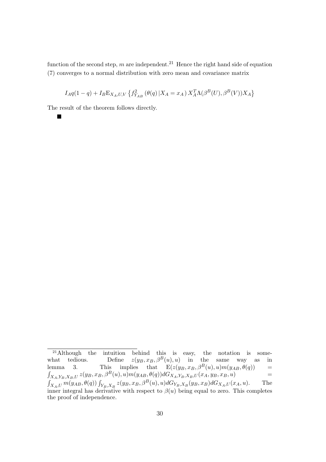function of the second step, m are independent.<sup>21</sup> Hence the right hand side of equation (7) converges to a normal distribution with zero mean and covariance matrix

$$
I_A q(1-q) + I_B E_{X_A, U, V} \left\{ f_{Y_{AB}}^2 \left( \theta(q) \, | X_A = x_A \right) X_A^T \Lambda(\beta^B(U), \beta^B(V)) X_A \right\}
$$

The result of the theorem follows directly.

 $\blacksquare$ 

<sup>&</sup>lt;sup>21</sup>Although the intuition behind this is easy, the notation is somewhat tedious. Define  $z(y_B, x_B, \beta^B(u), u)$  in the same way as in lemma 3. This implies that  $E(z(y_B, x_B, \beta^B(u), u)m(y_{AB}, \theta(q))$  =  $\int_{X_A,Y_B,X_B,U} z(y_B,x_B,\beta^B(u),u) m(y_{AB},\theta(q)) dG_{X_A,Y_B,X_B,U}(x_A,y_B,x_B,u)$  =  $\int_{X_A,U} m(y_{AB}, \theta(q)) \int_{Y_B, X_B} z(y_B, x_B, \beta^B(u), u) dG_{Y_B, X_B}(y_B, x_B) dG_{X_A, U}(x_A, u).$  The inner integral has derivative with respect to  $\beta(u)$  being equal to zero. This completes the proof of independence.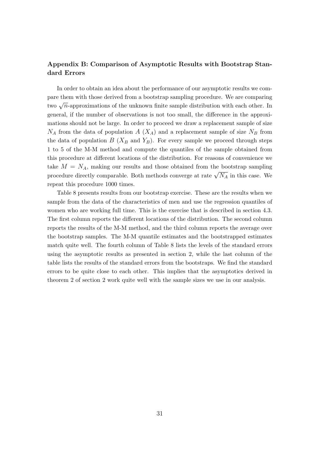## Appendix B: Comparison of Asymptotic Results with Bootstrap Standard Errors

In order to obtain an idea about the performance of our asymptotic results we compare them with those derived from a bootstrap sampling procedure. We are comparing two  $\sqrt{n}$ -approximations of the unknown finite sample distribution with each other. In general, if the number of observations is not too small, the difference in the approximations should not be large. In order to proceed we draw a replacement sample of size  $N_A$  from the data of population  $A(X_A)$  and a replacement sample of size  $N_B$  from the data of population  $B(X_B \text{ and } Y_B)$ . For every sample we proceed through steps 1 to 5 of the M-M method and compute the quantiles of the sample obtained from this procedure at different locations of the distribution. For reasons of convenience we take  $M = N_A$ , making our results and those obtained from the bootstrap sampling procedure directly comparable. Both methods converge at rate  $\sqrt{N_A}$  in this case. We repeat this procedure 1000 times.

Table 8 presents results from our bootstrap exercise. These are the results when we sample from the data of the characteristics of men and use the regression quantiles of women who are working full time. This is the exercise that is described in section 4.3. The first column reports the different locations of the distribution. The second column reports the results of the M-M method, and the third column reports the average over the bootstrap samples. The M-M quantile estimates and the bootstrapped estimates match quite well. The fourth column of Table 8 lists the levels of the standard errors using the asymptotic results as presented in section 2, while the last column of the table lists the results of the standard errors from the bootstraps. We find the standard errors to be quite close to each other. This implies that the asymptotics derived in theorem 2 of section 2 work quite well with the sample sizes we use in our analysis.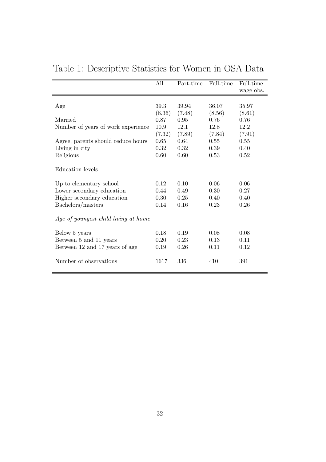|                                      | All    | Part-time | Full-time | Full-time |
|--------------------------------------|--------|-----------|-----------|-----------|
|                                      |        |           |           | wage obs. |
|                                      |        |           |           |           |
| Age                                  | 39.3   | 39.94     | 36.07     | 35.97     |
|                                      | (8.36) | (7.48)    | (8.56)    | (8.61)    |
| Married                              | 0.87   | 0.95      | 0.76      | 0.76      |
| Number of years of work experience   | 10.9   | 12.1      | 12.8      | 12.2      |
|                                      | (7.32) | (7.89)    | (7.84)    | (7.91)    |
| Agree, parents should reduce hours   | 0.65   | 0.64      | 0.55      | 0.55      |
| Living in city                       | 0.32   | 0.32      | 0.39      | 0.40      |
| Religious                            | 0.60   | 0.60      | 0.53      | 0.52      |
|                                      |        |           |           |           |
| Education levels                     |        |           |           |           |
|                                      |        |           |           |           |
| Up to elementary school              | 0.12   | 0.10      | 0.06      | 0.06      |
| Lower secondary education            | 0.44   | 0.49      | 0.30      | 0.27      |
| Higher secondary education           | 0.30   | 0.25      | 0.40      | 0.40      |
| Bachelors/masters                    | 0.14   | 0.16      | 0.23      | 0.26      |
|                                      |        |           |           |           |
| Age of youngest child living at home |        |           |           |           |
|                                      |        |           |           |           |
| Below 5 years                        | 0.18   | 0.19      | 0.08      | 0.08      |
| Between 5 and 11 years               | 0.20   | 0.23      | 0.13      | 0.11      |
| Between 12 and 17 years of age       | 0.19   | 0.26      | 0.11      | 0.12      |
|                                      |        |           |           |           |
| Number of observations               | 1617   | 336       | 410       | 391       |
|                                      |        |           |           |           |

Table 1: Descriptive Statistics for Women in OSA Data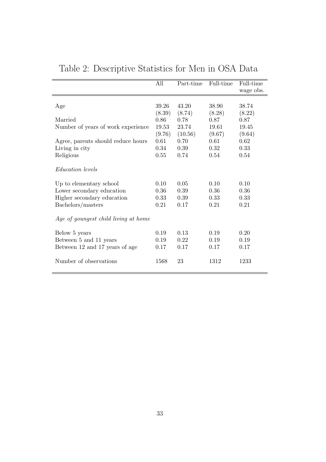|                                      | All       | Part-time | Full-time | Full-time |
|--------------------------------------|-----------|-----------|-----------|-----------|
|                                      |           |           |           | wage obs. |
|                                      |           |           |           |           |
| Age                                  | 39.26     | 43.20     | 38.90     | 38.74     |
|                                      | (8.39)    | (8.74)    | (8.28)    | (8.22)    |
| Married                              | 0.86      | 0.78      | 0.87      | 0.87      |
| Number of years of work experience   | $19.53\,$ | 23.74     | 19.61     | 19.45     |
|                                      | (9.76)    | (10.56)   | (9.67)    | (9.64)    |
| Agree, parents should reduce hours   | 0.61      | 0.70      | 0.61      | 0.62      |
| Living in city                       | 0.34      | 0.39      | 0.32      | 0.33      |
| Religious                            | 0.55      | 0.74      | 0.54      | 0.54      |
| <i>Education levels</i>              |           |           |           |           |
| Up to elementary school              | 0.10      | 0.05      | 0.10      | 0.10      |
| Lower secondary education            | 0.36      | 0.39      | 0.36      | 0.36      |
| Higher secondary education           | 0.33      | 0.39      | 0.33      | 0.33      |
| Bachelors/masters                    | 0.21      | 0.17      | 0.21      | 0.21      |
| Age of youngest child living at home |           |           |           |           |
| Below 5 years                        | 0.19      | 0.13      | 0.19      | 0.20      |
| Between 5 and 11 years               | 0.19      | 0.22      | 0.19      | 0.19      |
| Between 12 and 17 years of age       | 0.17      | 0.17      | 0.17      | 0.17      |
| Number of observations               | 1568      | 23        | 1312      | 1233      |

Table 2: Descriptive Statistics for Men in OSA Data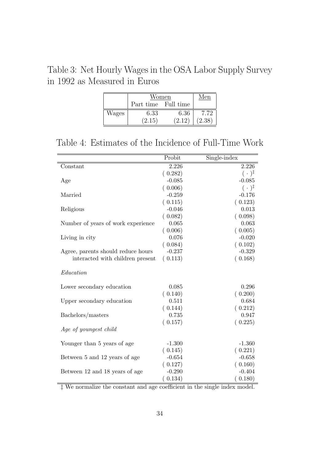Table 3: Net Hourly Wages in the OSA Labor Supply Survey in 1992 as Measured in Euros

|       | Women               | √len   |        |
|-------|---------------------|--------|--------|
|       | Part time Full time |        |        |
| Wages | 6.33                | 6.36   | 7.72   |
|       | (2.15)              | (2.12) | (2.38) |

Table 4: Estimates of the Incidence of Full-Time Work

|                                    | Probit   | Single-index         |
|------------------------------------|----------|----------------------|
| Constant                           | 2.226    | 2.226                |
|                                    | (0.282)  | $(\cdot)^{\ddagger}$ |
| Age                                | $-0.085$ | $-0.085$             |
|                                    | (0.006)  | $(\cdot)^{\ddagger}$ |
| Married                            | $-0.259$ | $-0.176$             |
|                                    | (0.115)  | (0.123)              |
| Religious                          | $-0.046$ | 0.013                |
|                                    | (0.082)  | (0.098)              |
| Number of years of work experience | 0.065    | 0.063                |
|                                    | (0.006)  | (0.005)              |
| Living in city                     | 0.076    | $-0.020$             |
|                                    | (0.084)  | (0.102)              |
| Agree, parents should reduce hours | $-0.237$ | $-0.329$             |
| interacted with children present   | (0.113)  | (0.168)              |
| Education                          |          |                      |
| Lower secondary education          | 0.085    | 0.296                |
|                                    | (0.140)  | (0.200)              |
| Upper secondary education          | 0.511    | 0.684                |
|                                    | (0.144)  | (0.212)              |
| Bachelors/masters                  | 0.735    | 0.947                |
|                                    | (0.157)  | (0.225)              |
| Age of youngest child              |          |                      |
| Younger than 5 years of age        | $-1.300$ | $-1.360$             |
|                                    | (0.145)  | (0.221)              |
| Between 5 and 12 years of age      | $-0.654$ | $-0.658$             |
|                                    | (0.127)  | (0.160)              |
| Between 12 and 18 years of age     | $-0.290$ | $-0.404$             |
|                                    |          |                      |
|                                    | (0.134)  | (0.180)              |

‡ We normalize the constant and age coefficient in the single index model.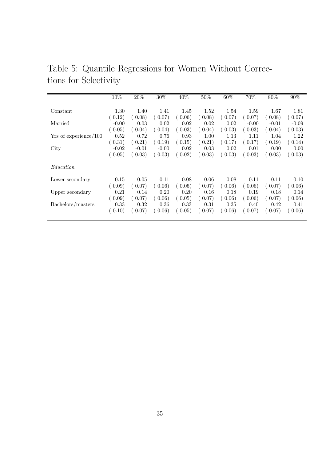|                       | 10%     | 20%     | $30\%$  | 40%    | 50%    | 60%    | 70%     | 80%     | 90%                 |
|-----------------------|---------|---------|---------|--------|--------|--------|---------|---------|---------------------|
|                       |         |         |         |        |        |        |         |         |                     |
| Constant              | 1.30    | 1.40    | 1.41    | 1.45   | 1.52   | 1.54   | 1.59    | 1.67    | 1.81                |
|                       | (0.12)  | (0.08)  | (0.07)  | 0.06)  | (0.08) | 0.07)  | 0.07)   | (0.08)  | (0.07)              |
| Married               | $-0.00$ | 0.03    | 0.02    | 0.02   | 0.02   | 0.02   | $-0.00$ | $-0.01$ | $-0.09$             |
|                       | 0.05)   | 0.04)   | 0.04)   | (0.03) | (0.04) | (0.03) | (0.03)  | 0.04)   | $\left(0.03\right)$ |
| Yrs of experience/100 | 0.52    | 0.72    | 0.76    | 0.93   | 1.00   | 1.13   | 1.11    | 1.04    | 1.22                |
|                       | (0.31)  | 0.21)   | (0.19)  | 0.15)  | (0.21) | (0.17) | (0.17)  | (0.19)  | (0.14)              |
| City                  | $-0.02$ | $-0.01$ | $-0.00$ | 0.02   | 0.03   | 0.02   | 0.01    | 0.00    | 0.00                |
|                       | (0.05)  | (0.03)  | (0.03)  | 0.02)  | (0.03) | (0.03) | (0.03)  | (0.03)  | 0.03)               |
| Education             |         |         |         |        |        |        |         |         |                     |
| Lower secondary       | 0.15    | 0.05    | 0.11    | 0.08   | 0.06   | 0.08   | 0.11    | 0.11    | 0.10                |
|                       | (0.09)  | 0.07)   | 0.06)   | 0.05)  | (0.07) | 0.06)  | 0.06)   | 0.07)   | 0.06)               |
| Upper secondary       | 0.21    | 0.14    | 0.20    | 0.20   | 0.16   | 0.18   | 0.19    | 0.18    | 0.14                |
|                       | (0.09)  | 0.07)   | (0.06)  | 0.05)  | (0.07) | (0.06) | 0.06)   | (0.07)  | (0.06)              |
| Bachelors/masters     | 0.33    | 0.32    | 0.36    | 0.33   | 0.31   | 0.35   | 0.40    | 0.42    | 0.41                |
|                       | (0.10)  | 0.07)   | 0.06)   | 0.05)  | (0.07) | (0.06) | 0.07)   | 0.07)   | 0.06)               |

Table 5: Quantile Regressions for Women Without Corrections for Selectivity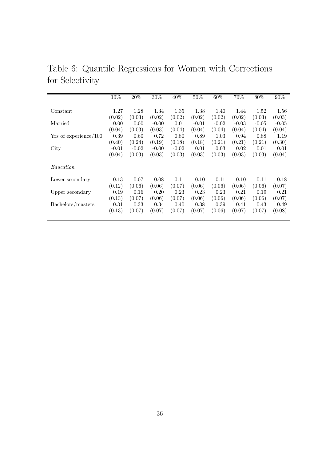|                       | 10%     | 20%     | 30%     | 40%     | 50%     | 60%     | 70%     | 80%     | $90\%$  |
|-----------------------|---------|---------|---------|---------|---------|---------|---------|---------|---------|
|                       |         |         |         |         |         |         |         |         |         |
| Constant              | 1.27    | 1.28    | 1.34    | 1.35    | 1.38    | 1.40    | 1.44    | 1.52    | 1.56    |
|                       | (0.02)  | (0.03)  | (0.02)  | (0.02)  | (0.02)  | (0.02)  | (0.02)  | (0.03)  | (0.03)  |
| Married               | 0.00    | 0.00    | $-0.00$ | 0.01    | $-0.01$ | $-0.02$ | $-0.03$ | $-0.05$ | $-0.05$ |
|                       | (0.04)  | (0.03)  | (0.03)  | (0.04)  | (0.04)  | (0.04)  | (0.04)  | (0.04)  | (0.04)  |
| Yrs of experience/100 | 0.39    | 0.60    | 0.72    | 0.80    | 0.89    | 1.03    | 0.94    | 0.88    | 1.19    |
|                       | (0.40)  | (0.24)  | (0.19)  | (0.18)  | (0.18)  | (0.21)  | (0.21)  | (0.21)  | (0.30)  |
| City                  | $-0.01$ | $-0.02$ | $-0.00$ | $-0.02$ | 0.01    | 0.03    | 0.02    | 0.01    | 0.01    |
|                       | (0.04)  | (0.03)  | (0.03)  | (0.03)  | (0.03)  | (0.03)  | (0.03)  | (0.03)  | (0.04)  |
| Education             |         |         |         |         |         |         |         |         |         |
| Lower secondary       | 0.13    | 0.07    | 0.08    | 0.11    | 0.10    | 0.11    | 0.10    | 0.11    | 0.18    |
|                       | (0.12)  | (0.06)  | (0.06)  | (0.07)  | (0.06)  | (0.06)  | (0.06)  | (0.06)  | (0.07)  |
| Upper secondary       | 0.19    | 0.16    | 0.20    | 0.23    | 0.23    | 0.23    | 0.21    | 0.19    | 0.21    |
|                       | (0.13)  | (0.07)  | (0.06)  | (0.07)  | (0.06)  | (0.06)  | (0.06)  | (0.06)  | (0.07)  |
| Bachelors/masters     | 0.31    | 0.33    | 0.34    | 0.40    | 0.38    | 0.39    | 0.41    | 0.43    | 0.49    |
|                       | (0.13)  | (0.07)  | (0.07)  | (0.07)  | (0.07)  | (0.06)  | (0.07)  | (0.07)  | (0.08)  |

Table 6: Quantile Regressions for Women with Corrections for Selectivity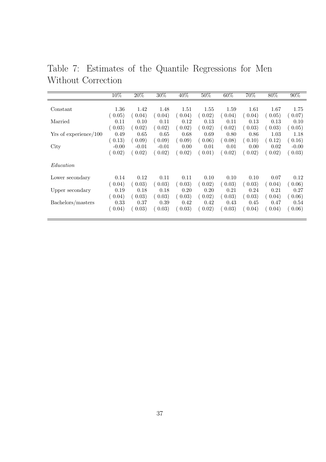Table 7: Estimates of the Quantile Regressions for Men Without Correction

|                       | 10%     | 20%     | 30%     | 40%    | $50\%$ | 60%    | 70%    | $80\%$ | 90%     |
|-----------------------|---------|---------|---------|--------|--------|--------|--------|--------|---------|
|                       |         |         |         |        |        |        |        |        |         |
|                       |         |         |         |        |        |        |        |        |         |
| Constant              | 1.36    | 1.42    | 1.48    | 1.51   | 1.55   | 1.59   | 1.61   | 1.67   | 1.75    |
|                       | (0.05)  | 0.04)   | (0.04)  | 0.04)  | (0.02) | (0.04) | 0.04)  | 0.05)  | 0.07)   |
| Married               | 0.11    | 0.10    | 0.11    | 0.12   | 0.13   | 0.11   | 0.13   | 0.13   | 0.10    |
|                       | (0.03)  | 0.02)   | (0.02)  | 0.02)  | 0.02)  | 0.02)  | 0.03)  | (0.03) | (0.05)  |
| Yrs of experience/100 | 0.49    | 0.65    | 0.65    | 0.68   | 0.69   | 0.80   | 0.86   | 1.03   | 1.18    |
|                       | (0.13)  | 0.09)   | (0.09)  | (0.09) | 0.06)  | 0.08)  | (0.10) | (0.12) | (0.16)  |
| City                  | $-0.00$ | $-0.01$ | $-0.01$ | 0.00   | 0.01   | 0.01   | 0.00   | 0.02   | $-0.00$ |
|                       | (0.02)  | 0.02)   | (0.02)  | 0.02)  | 0.01)  | 0.02)  | 0.02)  | (0.02) | 0.03)   |
| Education             |         |         |         |        |        |        |        |        |         |
| Lower secondary       | 0.14    | 0.12    | 0.11    | 0.11   | 0.10   | 0.10   | 0.10   | 0.07   | 0.12    |
|                       | (0.04)  | 0.03)   | (0.03)  | 0.03)  | (0.02) | (0.03) | (0.03) | 0.04)  | 0.06)   |
| Upper secondary       | 0.19    | 0.18    | 0.18    | 0.20   | 0.20   | 0.21   | 0.24   | 0.21   | 0.27    |
|                       | (0.04)  | (0.03)  | (0.03)  | (0.03) | 0.02)  | (0.03) | 0.03)  | 0.04)  | (0.06)  |
| Bachelors/masters     | 0.33    | 0.37    | 0.39    | 0.42   | 0.42   | 0.43   | 0.45   | 0.47   | 0.54    |
|                       | 0.04)   | 0.03)   | (0.03)  | (0.03) | 0.02)  | (0.03) | 0.04)  | 0.04)  | 0.06)   |
|                       |         |         |         |        |        |        |        |        |         |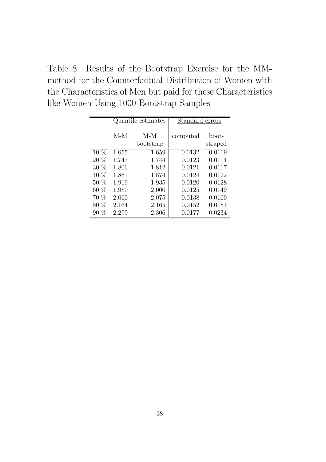Table 8: Results of the Bootstrap Exercise for the MMmethod for the Counterfactual Distribution of Women with the Characteristics of Men but paid for these Characteristics like Women Using 1000 Bootstrap Samples

|        |       | Quantile estimates | Standard errors |                  |
|--------|-------|--------------------|-----------------|------------------|
|        | $M-M$ | $M-M$<br>bootstrap | computed        | boot-<br>straped |
| $10\%$ | 1.655 | 1.659              | 0.0132          | 0.0119           |
| 20 %   | 1.747 | 1.744              | 0.0123          | 0.0114           |
| 30 %   | 1.806 | 1.812              | 0.0121          | 0.0117           |
| 40 %   | 1.861 | 1.874              | 0.0124          | 0.0122           |
| 50 %   | 1.919 | 1.935              | 0.0120          | 0.0128           |
| 60 %   | 1.980 | 2.000              | 0.0125          | 0.0149           |
| $70\%$ | 2.060 | 2.075              | 0.0138          | 0.0160           |
| 80 %   | 2.164 | 2.165              | 0.0152          | 0.0181           |
| $90\%$ | 2.299 | 2.306              | 0.0177          | 0.0234           |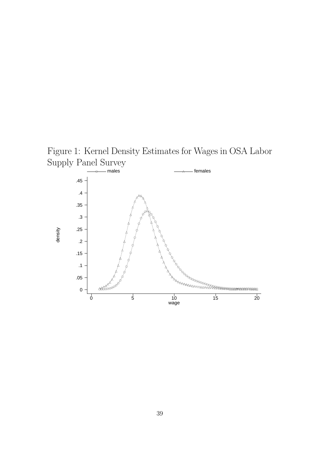

Figure 1: Kernel Density Estimates for Wages in OSA Labor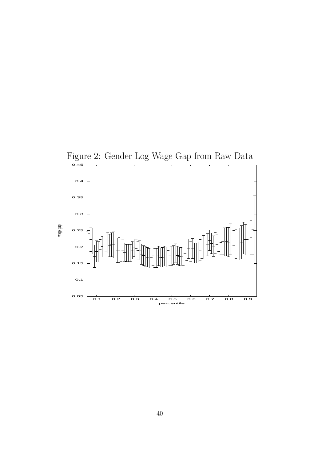

40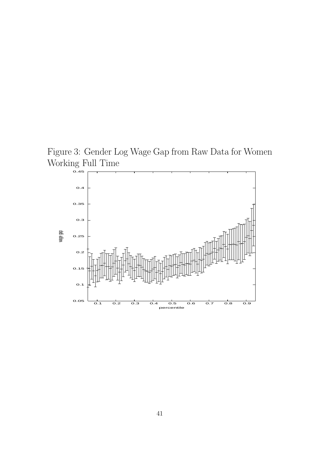Figure 3: Gender Log Wage Gap from Raw Data for Women Working Full Time

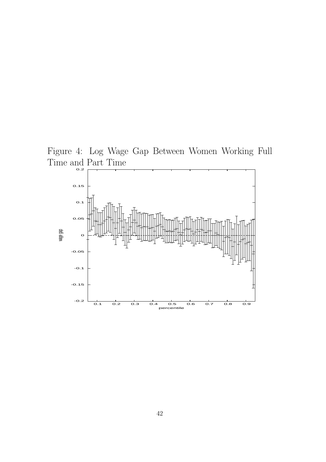

Figure 4: Log Wage Gap Between Women Working Full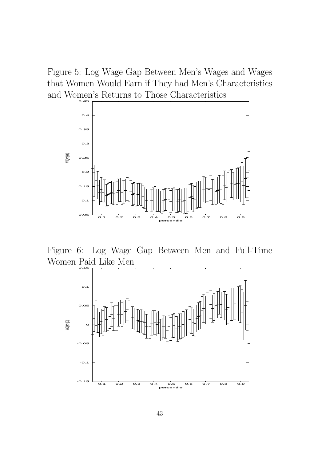Figure 5: Log Wage Gap Between Men's Wages and Wages that Women Would Earn if They had Men's Characteristics and Women's Returns to Those Characteristics



Figure 6: Log Wage Gap Between Men and Full-Time Women Paid Like Men

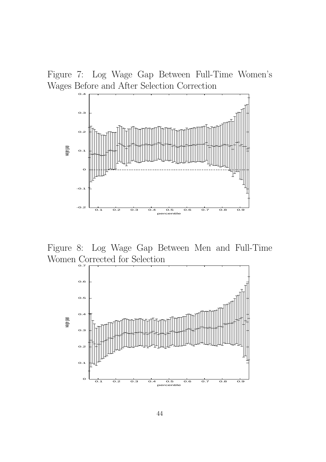Figure 7: Log Wage Gap Between Full-Time Women's Wages Before and After Selection Correction



Figure 8: Log Wage Gap Between Men and Full-Time Women Corrected for Selection

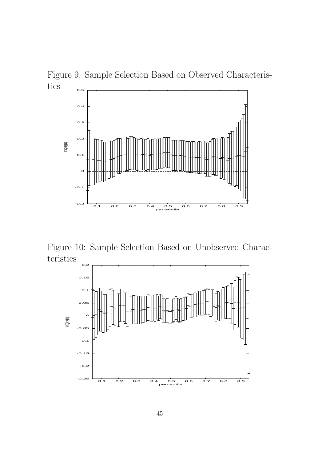



Figure 10: Sample Selection Based on Unobserved Characteristics